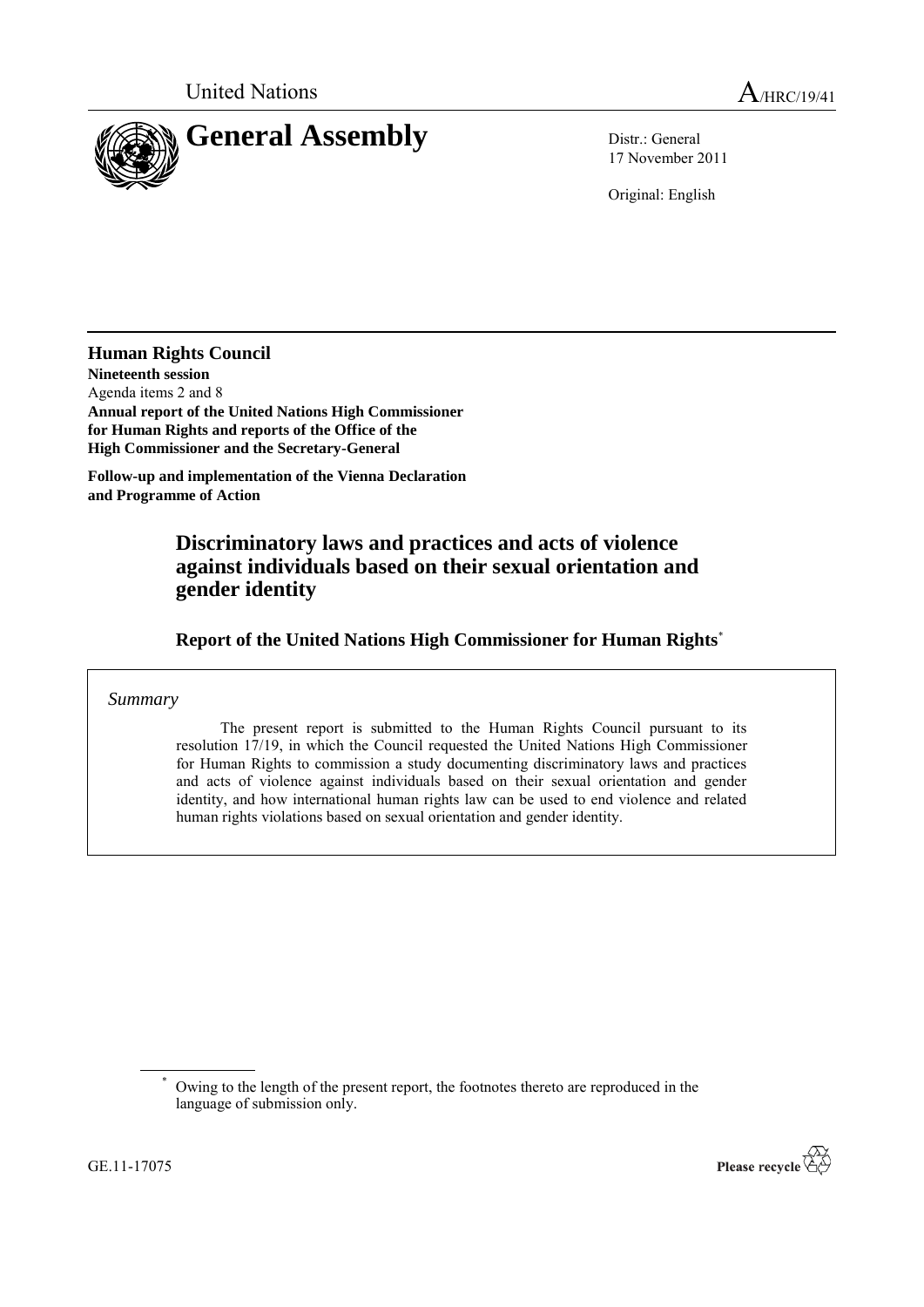

17 November 2011

Original: English

**Human Rights Council Nineteenth session** Agenda items 2 and 8 **Annual report of the United Nations High Commissioner for Human Rights and reports of the Office of the High Commissioner and the Secretary-General**

**Follow-up and implementation of the Vienna Declaration and Programme of Action**

# **Discriminatory laws and practices and acts of violence against individuals based on their sexual orientation and gender identity**

**Report of the United Nations High Commissioner for Human Rights**\*

*Summary*

The present report is submitted to the Human Rights Council pursuant to its resolution 17/19, in which the Council requested the United Nations High Commissioner for Human Rights to commission a study documenting discriminatory laws and practices and acts of violence against individuals based on their sexual orientation and gender identity, and how international human rights law can be used to end violence and related human rights violations based on sexual orientation and gender identity.

Owing to the length of the present report, the footnotes thereto are reproduced in the language of submission only.

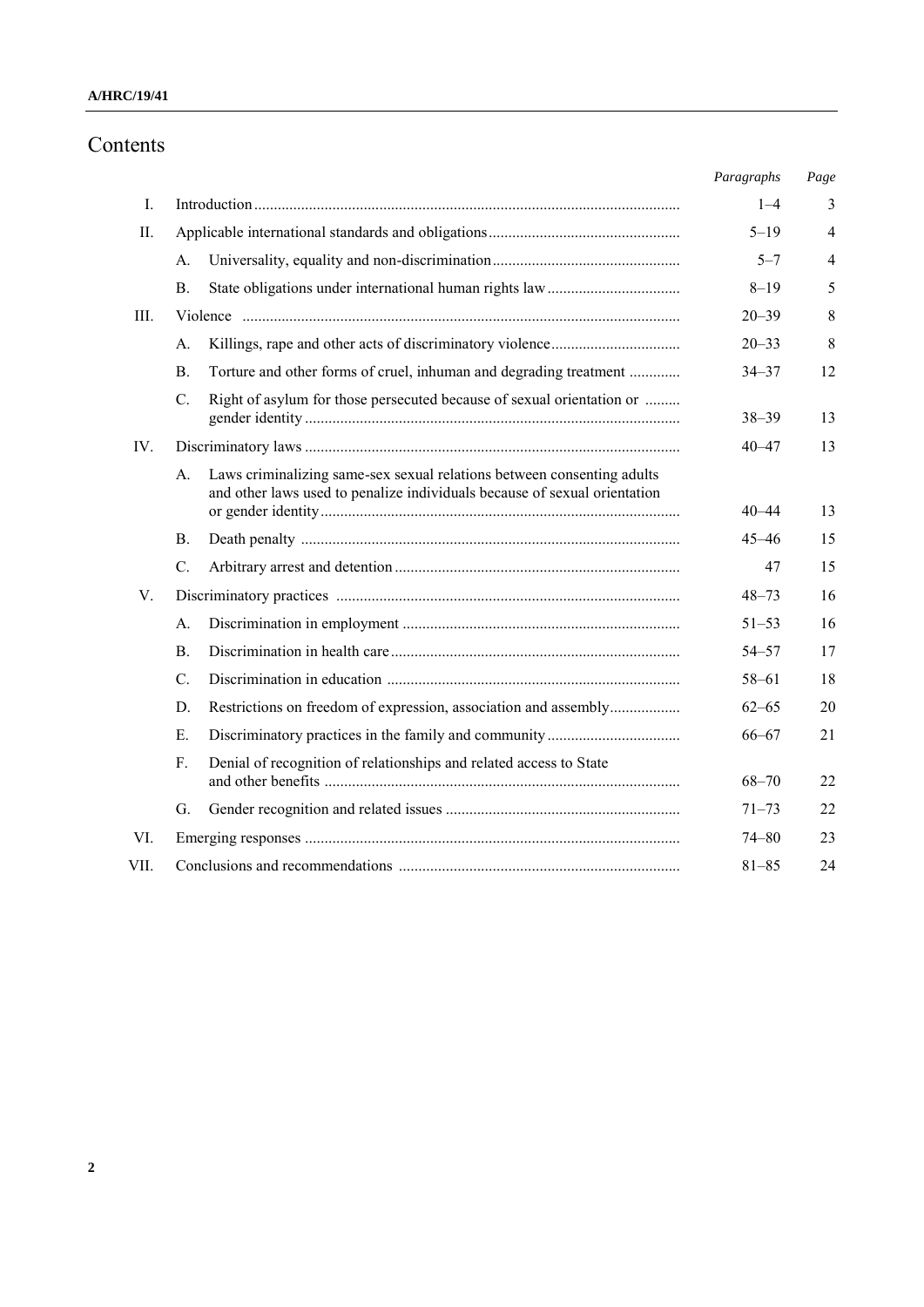#### **A/HRC/19/41**

## Contents

|      |                |                                                                                                                                                     | Paragraphs | Page           |
|------|----------------|-----------------------------------------------------------------------------------------------------------------------------------------------------|------------|----------------|
| Ι.   |                |                                                                                                                                                     | $1 - 4$    | 3              |
| II.  |                |                                                                                                                                                     | $5 - 19$   | $\overline{4}$ |
|      | A.             |                                                                                                                                                     | $5 - 7$    | $\overline{4}$ |
|      | <b>B.</b>      |                                                                                                                                                     | $8 - 19$   | 5              |
| Ш.   |                |                                                                                                                                                     | $20 - 39$  | 8              |
|      | A.             |                                                                                                                                                     | $20 - 33$  | 8              |
|      | $\mathbf{B}$ . | Torture and other forms of cruel, inhuman and degrading treatment                                                                                   | $34 - 37$  | 12             |
|      | C.             | Right of asylum for those persecuted because of sexual orientation or                                                                               | $38 - 39$  | 13             |
| IV.  |                |                                                                                                                                                     | $40 - 47$  | 13             |
|      | A.             | Laws criminalizing same-sex sexual relations between consenting adults<br>and other laws used to penalize individuals because of sexual orientation | $40 - 44$  | 13             |
|      | В.             |                                                                                                                                                     | $45 - 46$  | 15             |
|      | C.             |                                                                                                                                                     | 47         | 15             |
| V.   |                |                                                                                                                                                     | $48 - 73$  | 16             |
|      | A.             |                                                                                                                                                     | $51 - 53$  | 16             |
|      | $\mathbf{B}$ . |                                                                                                                                                     | $54 - 57$  | 17             |
|      | C.             |                                                                                                                                                     | $58 - 61$  | 18             |
|      | D.             | Restrictions on freedom of expression, association and assembly                                                                                     | $62 - 65$  | 20             |
|      | E.             |                                                                                                                                                     | $66 - 67$  | 21             |
|      | F.             | Denial of recognition of relationships and related access to State                                                                                  | $68 - 70$  | 22             |
|      | G.             |                                                                                                                                                     | $71 - 73$  | 22             |
| VI.  |                |                                                                                                                                                     | $74 - 80$  | 23             |
| VII. |                |                                                                                                                                                     | $81 - 85$  | 24             |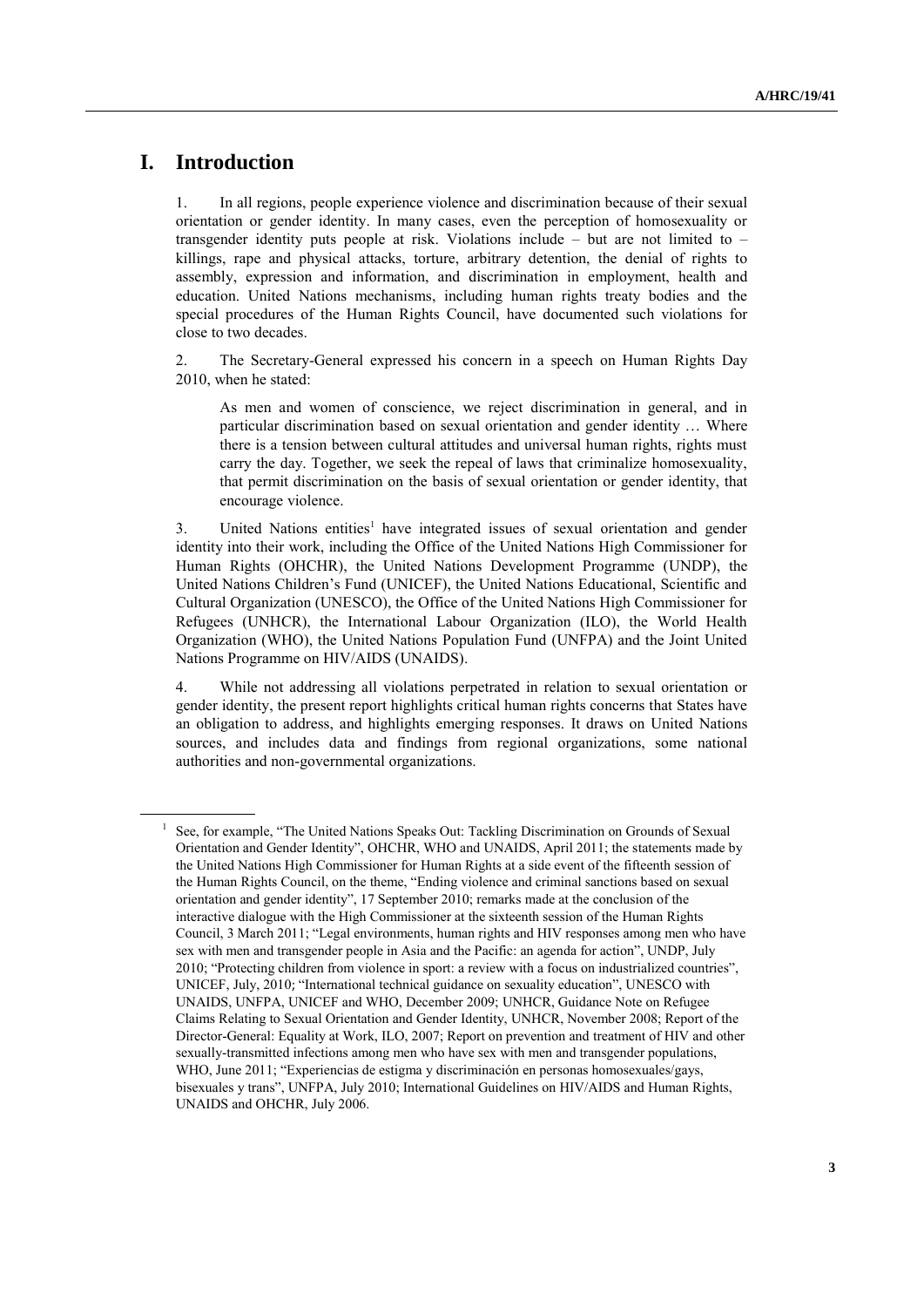# **I. Introduction**

1. In all regions, people experience violence and discrimination because of their sexual orientation or gender identity. In many cases, even the perception of homosexuality or transgender identity puts people at risk. Violations include – but are not limited to – killings, rape and physical attacks, torture, arbitrary detention, the denial of rights to assembly, expression and information, and discrimination in employment, health and education. United Nations mechanisms, including human rights treaty bodies and the special procedures of the Human Rights Council, have documented such violations for close to two decades.

2. The Secretary-General expressed his concern in a speech on Human Rights Day 2010, when he stated:

As men and women of conscience, we reject discrimination in general, and in particular discrimination based on sexual orientation and gender identity … Where there is a tension between cultural attitudes and universal human rights, rights must carry the day. Together, we seek the repeal of laws that criminalize homosexuality, that permit discrimination on the basis of sexual orientation or gender identity, that encourage violence.

3. United Nations entities<sup>1</sup> have integrated issues of sexual orientation and gender identity into their work, including the Office of the United Nations High Commissioner for Human Rights (OHCHR), the United Nations Development Programme (UNDP), the United Nations Children"s Fund (UNICEF), the United Nations Educational, Scientific and Cultural Organization (UNESCO), the Office of the United Nations High Commissioner for Refugees (UNHCR), the International Labour Organization (ILO), the World Health Organization (WHO), the United Nations Population Fund (UNFPA) and the Joint United Nations Programme on HIV/AIDS (UNAIDS).

4. While not addressing all violations perpetrated in relation to sexual orientation or gender identity, the present report highlights critical human rights concerns that States have an obligation to address, and highlights emerging responses. It draws on United Nations sources, and includes data and findings from regional organizations, some national authorities and non-governmental organizations.

<sup>1</sup> See, for example, "The United Nations Speaks Out: Tackling Discrimination on Grounds of Sexual Orientation and Gender Identity", OHCHR, WHO and UNAIDS, April 2011; the statements made by the United Nations High Commissioner for Human Rights at a side event of the fifteenth session of the Human Rights Council, on the theme, "Ending violence and criminal sanctions based on sexual orientation and gender identity", 17 September 2010; remarks made at the conclusion of the interactive dialogue with the High Commissioner at the sixteenth session of the Human Rights Council, 3 March 2011; "Legal environments, human rights and HIV responses among men who have sex with men and transgender people in Asia and the Pacific: an agenda for action", UNDP, July 2010; "Protecting children from violence in sport: a review with a focus on industrialized countries", UNICEF, July, 2010; "International technical guidance on sexuality education", UNESCO with UNAIDS, UNFPA, UNICEF and WHO, December 2009; UNHCR, Guidance Note on Refugee Claims Relating to Sexual Orientation and Gender Identity, UNHCR, November 2008; Report of the Director-General: Equality at Work, ILO, 2007; Report on prevention and treatment of HIV and other sexually-transmitted infections among men who have sex with men and transgender populations, WHO, June 2011; "Experiencias de estigma y discriminación en personas homosexuales/gays, bisexuales y trans", UNFPA, July 2010; International Guidelines on HIV/AIDS and Human Rights, UNAIDS and OHCHR, July 2006.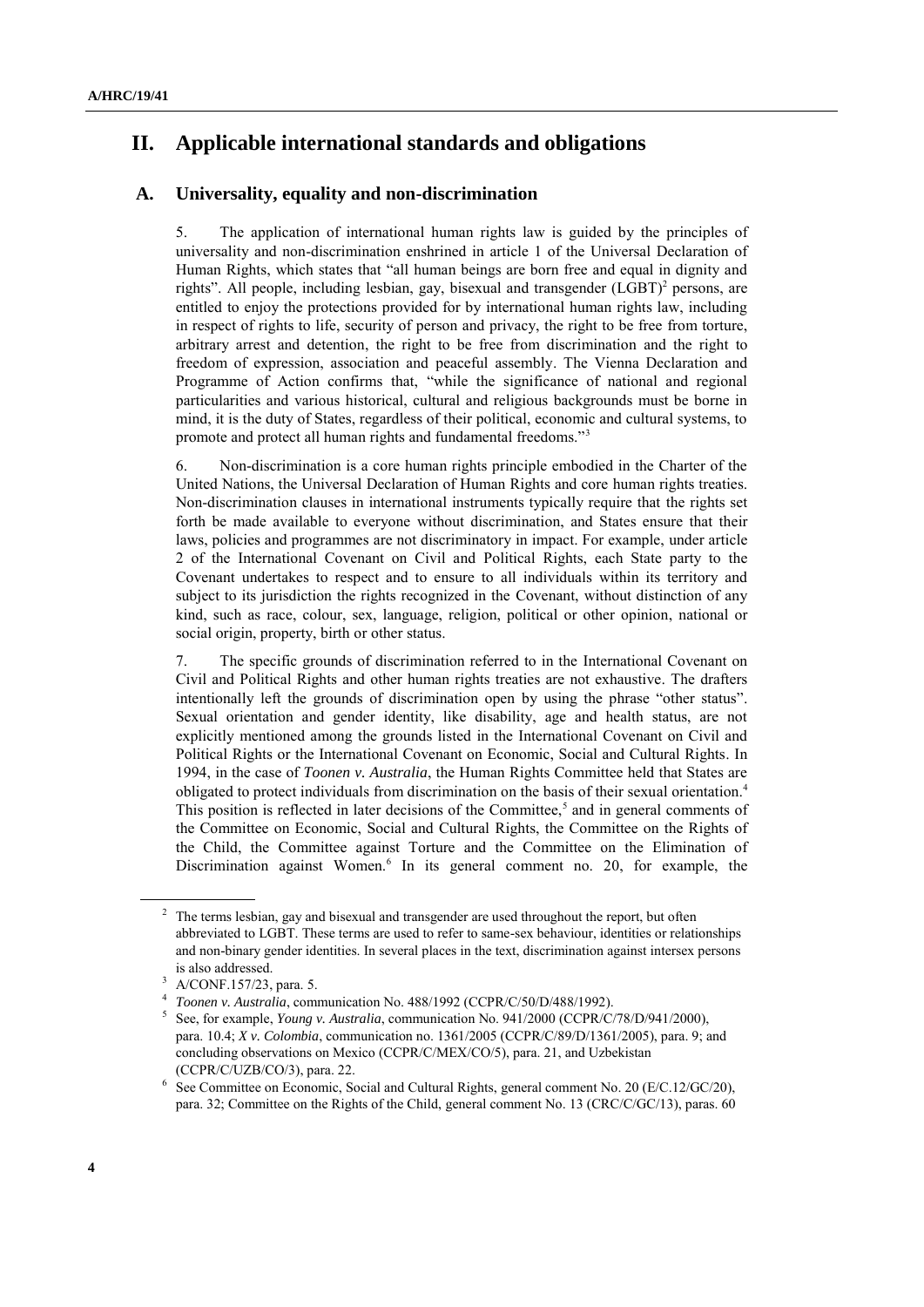# **II. Applicable international standards and obligations**

## **A. Universality, equality and non-discrimination**

5. The application of international human rights law is guided by the principles of universality and non-discrimination enshrined in article 1 of the Universal Declaration of Human Rights, which states that "all human beings are born free and equal in dignity and rights". All people, including lesbian, gay, bisexual and transgender  $(LGBT)^2$  persons, are entitled to enjoy the protections provided for by international human rights law, including in respect of rights to life, security of person and privacy, the right to be free from torture, arbitrary arrest and detention, the right to be free from discrimination and the right to freedom of expression, association and peaceful assembly. The Vienna Declaration and Programme of Action confirms that, "while the significance of national and regional particularities and various historical, cultural and religious backgrounds must be borne in mind, it is the duty of States, regardless of their political, economic and cultural systems, to promote and protect all human rights and fundamental freedoms."<sup>3</sup>

6. Non-discrimination is a core human rights principle embodied in the Charter of the United Nations, the Universal Declaration of Human Rights and core human rights treaties. Non-discrimination clauses in international instruments typically require that the rights set forth be made available to everyone without discrimination, and States ensure that their laws, policies and programmes are not discriminatory in impact. For example, under article 2 of the International Covenant on Civil and Political Rights, each State party to the Covenant undertakes to respect and to ensure to all individuals within its territory and subject to its jurisdiction the rights recognized in the Covenant, without distinction of any kind, such as race, colour, sex, language, religion, political or other opinion, national or social origin, property, birth or other status.

7. The specific grounds of discrimination referred to in the International Covenant on Civil and Political Rights and other human rights treaties are not exhaustive. The drafters intentionally left the grounds of discrimination open by using the phrase "other status". Sexual orientation and gender identity, like disability, age and health status, are not explicitly mentioned among the grounds listed in the International Covenant on Civil and Political Rights or the International Covenant on Economic, Social and Cultural Rights. In 1994, in the case of *Toonen v. Australia*, the Human Rights Committee held that States are obligated to protect individuals from discrimination on the basis of their sexual orientation.<sup>4</sup> This position is reflected in later decisions of the Committee,<sup>5</sup> and in general comments of the Committee on Economic, Social and Cultural Rights, the Committee on the Rights of the Child, the Committee against Torture and the Committee on the Elimination of Discrimination against Women.<sup>6</sup> In its general comment no. 20, for example, the

The terms lesbian, gay and bisexual and transgender are used throughout the report, but often abbreviated to LGBT. These terms are used to refer to same-sex behaviour, identities or relationships and non-binary gender identities. In several places in the text, discrimination against intersex persons is also addressed.

 $3$  A/CONF.157/23, para. 5.

<sup>4</sup> *Toonen v. Australia*, communication No. 488/1992 (CCPR/C/50/D/488/1992).

<sup>5</sup> See, for example, *Young v. Australia*, communication No. 941/2000 (CCPR/C/78/D/941/2000), para. 10.4; *X v. Colombia*, communication no. 1361/2005 (CCPR/C/89/D/1361/2005), para. 9; and concluding observations on Mexico (CCPR/C/MEX/CO/5), para. 21, and Uzbekistan (CCPR/C/UZB/CO/3), para. 22.

<sup>6</sup> See Committee on Economic, Social and Cultural Rights, general comment No. 20 (E/C.12/GC/20), para. 32; Committee on the Rights of the Child, general comment No. 13 (CRC/C/GC/13), paras. 60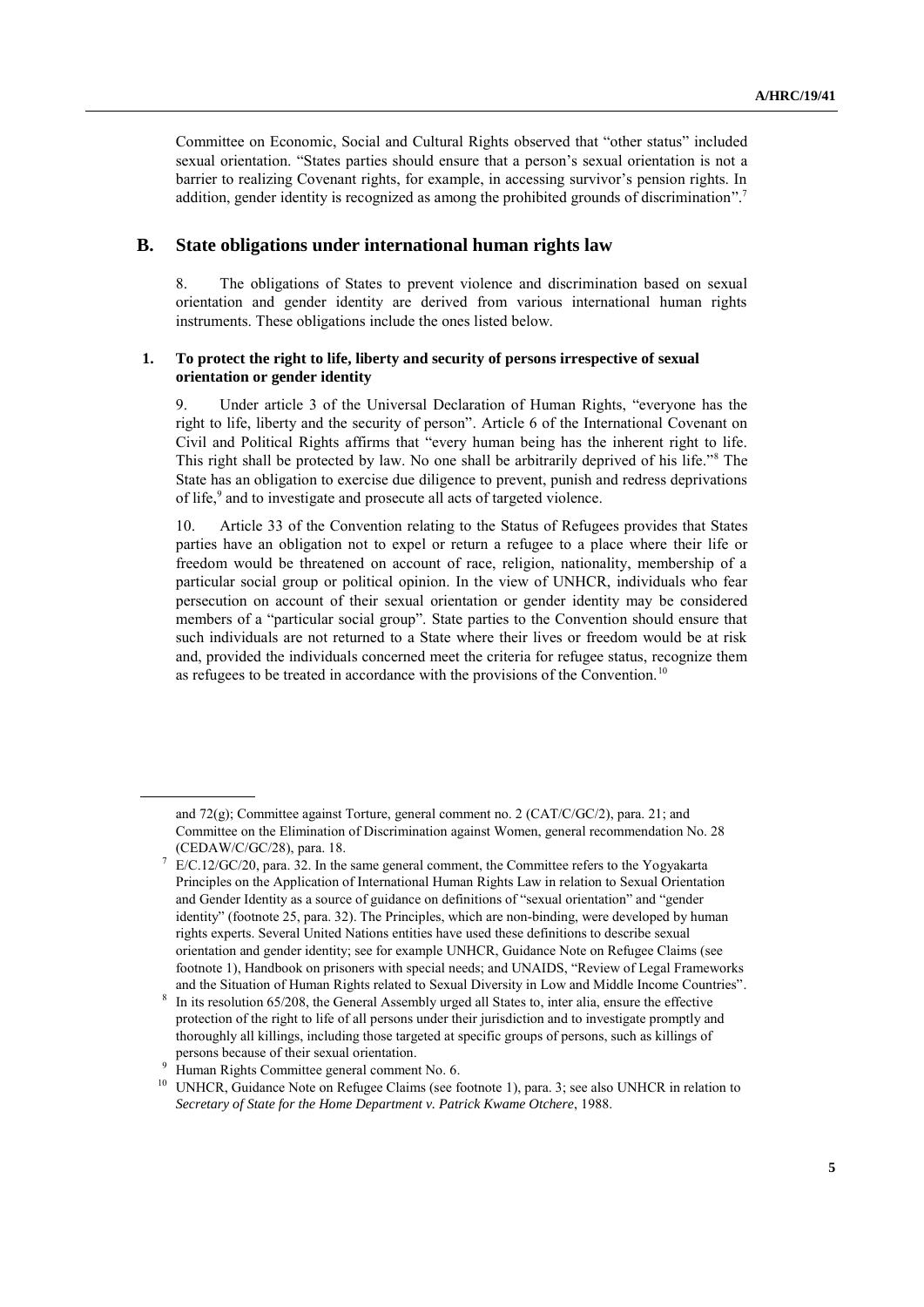Committee on Economic, Social and Cultural Rights observed that "other status" included sexual orientation. "States parties should ensure that a person's sexual orientation is not a barrier to realizing Covenant rights, for example, in accessing survivor's pension rights. In addition, gender identity is recognized as among the prohibited grounds of discrimination".<sup>7</sup>

### **B. State obligations under international human rights law**

8. The obligations of States to prevent violence and discrimination based on sexual orientation and gender identity are derived from various international human rights instruments. These obligations include the ones listed below.

#### **1. To protect the right to life, liberty and security of persons irrespective of sexual orientation or gender identity**

9. Under article 3 of the Universal Declaration of Human Rights, "everyone has the right to life, liberty and the security of person". Article 6 of the International Covenant on Civil and Political Rights affirms that "every human being has the inherent right to life. This right shall be protected by law. No one shall be arbitrarily deprived of his life."<sup>8</sup> The State has an obligation to exercise due diligence to prevent, punish and redress deprivations of life, 9 and to investigate and prosecute all acts of targeted violence.

10. Article 33 of the Convention relating to the Status of Refugees provides that States parties have an obligation not to expel or return a refugee to a place where their life or freedom would be threatened on account of race, religion, nationality, membership of a particular social group or political opinion. In the view of UNHCR, individuals who fear persecution on account of their sexual orientation or gender identity may be considered members of a "particular social group". State parties to the Convention should ensure that such individuals are not returned to a State where their lives or freedom would be at risk and, provided the individuals concerned meet the criteria for refugee status, recognize them as refugees to be treated in accordance with the provisions of the Convention.<sup>10</sup>

and 72(g); Committee against Torture, general comment no. 2 (CAT/C/GC/2), para. 21; and Committee on the Elimination of Discrimination against Women, general recommendation No. 28 (CEDAW/C/GC/28), para. 18.

E/C.12/GC/20, para. 32. In the same general comment, the Committee refers to the Yogyakarta Principles on the Application of International Human Rights Law in relation to Sexual Orientation and Gender Identity as a source of guidance on definitions of "sexual orientation" and "gender identity" (footnote 25, para. 32). The Principles, which are non-binding, were developed by human rights experts. Several United Nations entities have used these definitions to describe sexual orientation and gender identity; see for example UNHCR, Guidance Note on Refugee Claims (see footnote 1), Handbook on prisoners with special needs; and UNAIDS, "Review of Legal Frameworks and the Situation of Human Rights related to Sexual Diversity in Low and Middle Income Countries".

<sup>8</sup> In its resolution 65/208, the General Assembly urged all States to, inter alia, ensure the effective protection of the right to life of all persons under their jurisdiction and to investigate promptly and thoroughly all killings, including those targeted at specific groups of persons, such as killings of persons because of their sexual orientation.

<sup>&</sup>lt;sup>9</sup> Human Rights Committee general comment No. 6.

<sup>&</sup>lt;sup>10</sup> UNHCR, Guidance Note on Refugee Claims (see footnote 1), para. 3; see also UNHCR in relation to *Secretary of State for the Home Department v. Patrick Kwame Otchere*, 1988.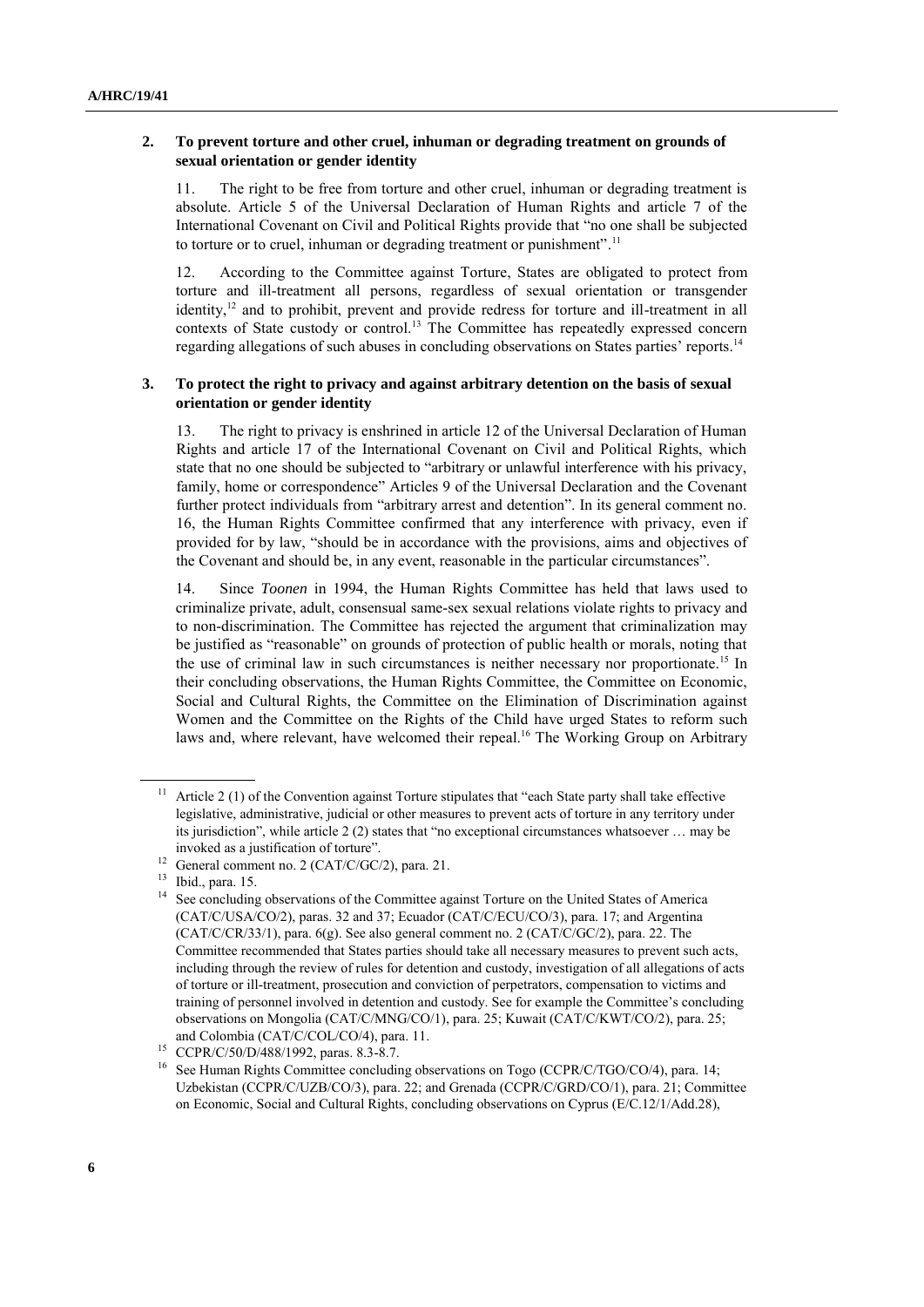#### **2. To prevent torture and other cruel, inhuman or degrading treatment on grounds of sexual orientation or gender identity**

11. The right to be free from torture and other cruel, inhuman or degrading treatment is absolute. Article 5 of the Universal Declaration of Human Rights and article 7 of the International Covenant on Civil and Political Rights provide that "no one shall be subjected to torture or to cruel, inhuman or degrading treatment or punishment".<sup>11</sup>

12. According to the Committee against Torture, States are obligated to protect from torture and ill-treatment all persons, regardless of sexual orientation or transgender identity,<sup>12</sup> and to prohibit, prevent and provide redress for torture and ill-treatment in all contexts of State custody or control.<sup>13</sup> The Committee has repeatedly expressed concern regarding allegations of such abuses in concluding observations on States parties' reports.<sup>14</sup>

#### **3. To protect the right to privacy and against arbitrary detention on the basis of sexual orientation or gender identity**

13. The right to privacy is enshrined in article 12 of the Universal Declaration of Human Rights and article 17 of the International Covenant on Civil and Political Rights, which state that no one should be subjected to "arbitrary or unlawful interference with his privacy, family, home or correspondence" Articles 9 of the Universal Declaration and the Covenant further protect individuals from "arbitrary arrest and detention". In its general comment no. 16, the Human Rights Committee confirmed that any interference with privacy, even if provided for by law, "should be in accordance with the provisions, aims and objectives of the Covenant and should be, in any event, reasonable in the particular circumstances".

14. Since *Toonen* in 1994, the Human Rights Committee has held that laws used to criminalize private, adult, consensual same-sex sexual relations violate rights to privacy and to non-discrimination. The Committee has rejected the argument that criminalization may be justified as "reasonable" on grounds of protection of public health or morals, noting that the use of criminal law in such circumstances is neither necessary nor proportionate.<sup>15</sup> In their concluding observations, the Human Rights Committee, the Committee on Economic, Social and Cultural Rights, the Committee on the Elimination of Discrimination against Women and the Committee on the Rights of the Child have urged States to reform such laws and, where relevant, have welcomed their repeal.<sup>16</sup> The Working Group on Arbitrary

Article 2 (1) of the Convention against Torture stipulates that "each State party shall take effective legislative, administrative, judicial or other measures to prevent acts of torture in any territory under its jurisdiction", while article 2 (2) states that "no exceptional circumstances whatsoever … may be invoked as a justification of torture".

<sup>&</sup>lt;sup>12</sup> General comment no. 2 (CAT/C/GC/2), para. 21.

 $\frac{13}{14}$  Ibid., para. 15.

See concluding observations of the Committee against Torture on the United States of America (CAT/C/USA/CO/2), paras. 32 and 37; Ecuador (CAT/C/ECU/CO/3), para. 17; and Argentina (CAT/C/CR/33/1), para. 6(g). See also general comment no. 2 (CAT/C/GC/2), para. 22. The Committee recommended that States parties should take all necessary measures to prevent such acts, including through the review of rules for detention and custody, investigation of all allegations of acts of torture or ill-treatment, prosecution and conviction of perpetrators, compensation to victims and training of personnel involved in detention and custody. See for example the Committee"s concluding observations on Mongolia (CAT/C/MNG/CO/1), para. 25; Kuwait (CAT/C/KWT/CO/2), para. 25; and Colombia (CAT/C/COL/CO/4), para. 11.

<sup>15</sup> CCPR/C/50/D/488/1992, paras. 8.3-8.7.

See Human Rights Committee concluding observations on Togo (CCPR/C/TGO/CO/4), para. 14; Uzbekistan (CCPR/C/UZB/CO/3), para. 22; and Grenada (CCPR/C/GRD/CO/1), para. 21; Committee on Economic, Social and Cultural Rights, concluding observations on Cyprus (E/C.12/1/Add.28),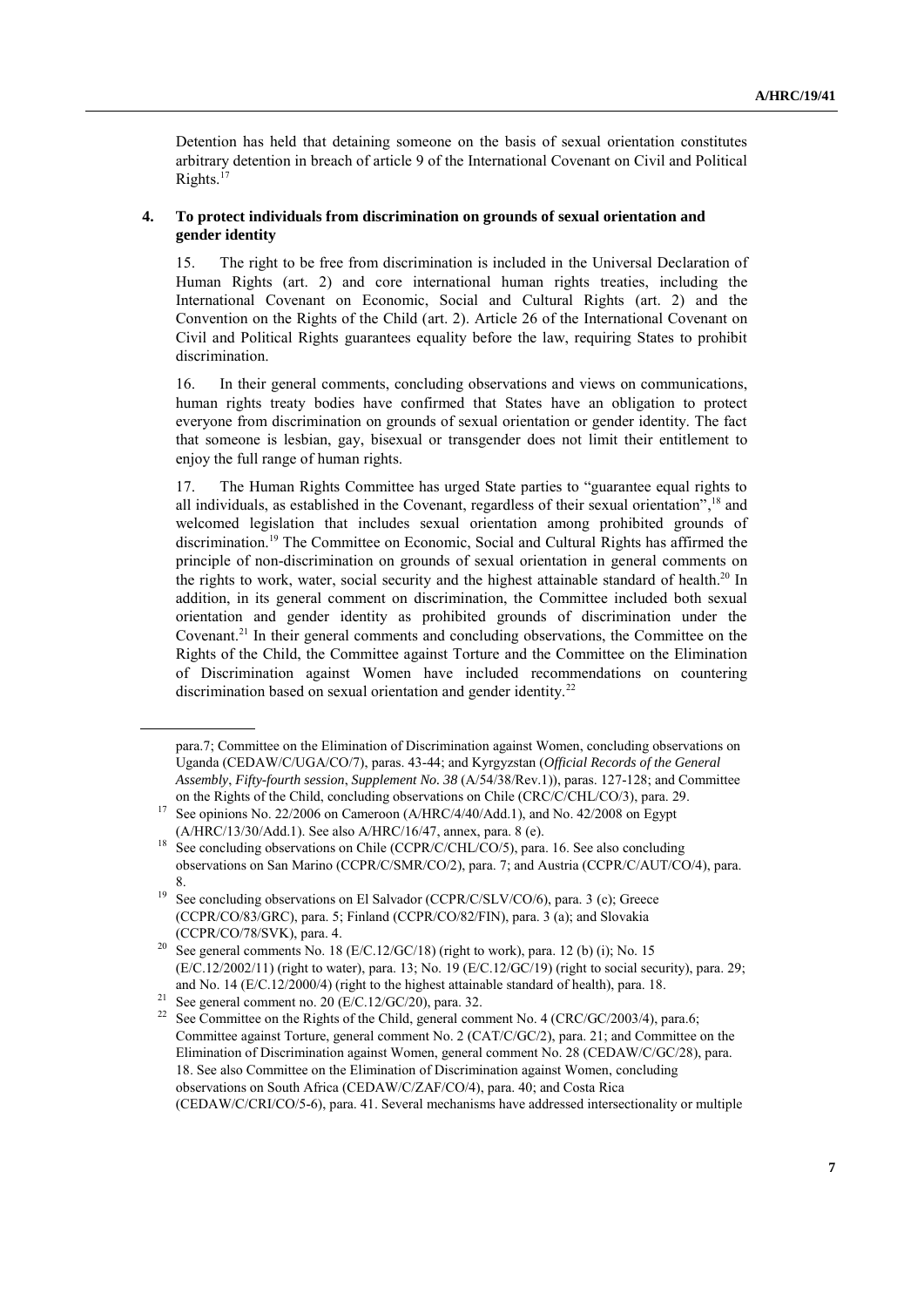Detention has held that detaining someone on the basis of sexual orientation constitutes arbitrary detention in breach of article 9 of the International Covenant on Civil and Political Rights. 17

#### **4. To protect individuals from discrimination on grounds of sexual orientation and gender identity**

15. The right to be free from discrimination is included in the Universal Declaration of Human Rights (art. 2) and core international human rights treaties, including the International Covenant on Economic, Social and Cultural Rights (art. 2) and the Convention on the Rights of the Child (art. 2). Article 26 of the International Covenant on Civil and Political Rights guarantees equality before the law, requiring States to prohibit discrimination.

16. In their general comments, concluding observations and views on communications, human rights treaty bodies have confirmed that States have an obligation to protect everyone from discrimination on grounds of sexual orientation or gender identity. The fact that someone is lesbian, gay, bisexual or transgender does not limit their entitlement to enjoy the full range of human rights.

17. The Human Rights Committee has urged State parties to "guarantee equal rights to all individuals, as established in the Covenant, regardless of their sexual orientation",<sup>18</sup> and welcomed legislation that includes sexual orientation among prohibited grounds of discrimination.<sup>19</sup> The Committee on Economic, Social and Cultural Rights has affirmed the principle of non-discrimination on grounds of sexual orientation in general comments on the rights to work, water, social security and the highest attainable standard of health.<sup>20</sup> In addition, in its general comment on discrimination, the Committee included both sexual orientation and gender identity as prohibited grounds of discrimination under the Covenant.<sup>21</sup> In their general comments and concluding observations, the Committee on the Rights of the Child, the Committee against Torture and the Committee on the Elimination of Discrimination against Women have included recommendations on countering discrimination based on sexual orientation and gender identity.<sup>22</sup>

para.7; Committee on the Elimination of Discrimination against Women, concluding observations on Uganda (CEDAW/C/UGA/CO/7), paras. 43-44; and Kyrgyzstan (*Official Records of the General Assembly*, *Fifty-fourth session*, *Supplement No. 38* (A/54/38/Rev.1)), paras. 127-128; and Committee on the Rights of the Child, concluding observations on Chile (CRC/C/CHL/CO/3), para. 29.

<sup>&</sup>lt;sup>17</sup> See opinions No. 22/2006 on Cameroon  $(A/HRC/4/40/Add.1)$ , and No. 42/2008 on Egypt (A/HRC/13/30/Add.1). See also A/HRC/16/47, annex, para. 8 (e).

<sup>&</sup>lt;sup>18</sup> See concluding observations on Chile (CCPR/C/CHL/CO/5), para. 16. See also concluding observations on San Marino (CCPR/C/SMR/CO/2), para. 7; and Austria (CCPR/C/AUT/CO/4), para. 8.

<sup>&</sup>lt;sup>19</sup> See concluding observations on El Salvador (CCPR/C/SLV/CO/6), para. 3 (c); Greece (CCPR/CO/83/GRC), para. 5; Finland (CCPR/CO/82/FIN), para. 3 (a); and Slovakia (CCPR/CO/78/SVK), para. 4.

<sup>&</sup>lt;sup>20</sup> See general comments No. 18 (E/C.12/GC/18) (right to work), para. 12 (b) (i); No. 15 (E/C.12/2002/11) (right to water), para. 13; No. 19 (E/C.12/GC/19) (right to social security), para. 29; and No. 14 (E/C.12/2000/4) (right to the highest attainable standard of health), para. 18.

<sup>&</sup>lt;sup>21</sup> See general comment no. 20 (E/C.12/GC/20), para. 32.

<sup>&</sup>lt;sup>22</sup> See Committee on the Rights of the Child, general comment No. 4 (CRC/GC/2003/4), para.6; Committee against Torture, general comment No. 2 (CAT/C/GC/2), para. 21; and Committee on the Elimination of Discrimination against Women, general comment No. 28 (CEDAW/C/GC/28), para. 18. See also Committee on the Elimination of Discrimination against Women, concluding observations on South Africa (CEDAW/C/ZAF/CO/4), para. 40; and Costa Rica (CEDAW/C/CRI/CO/5-6), para. 41. Several mechanisms have addressed intersectionality or multiple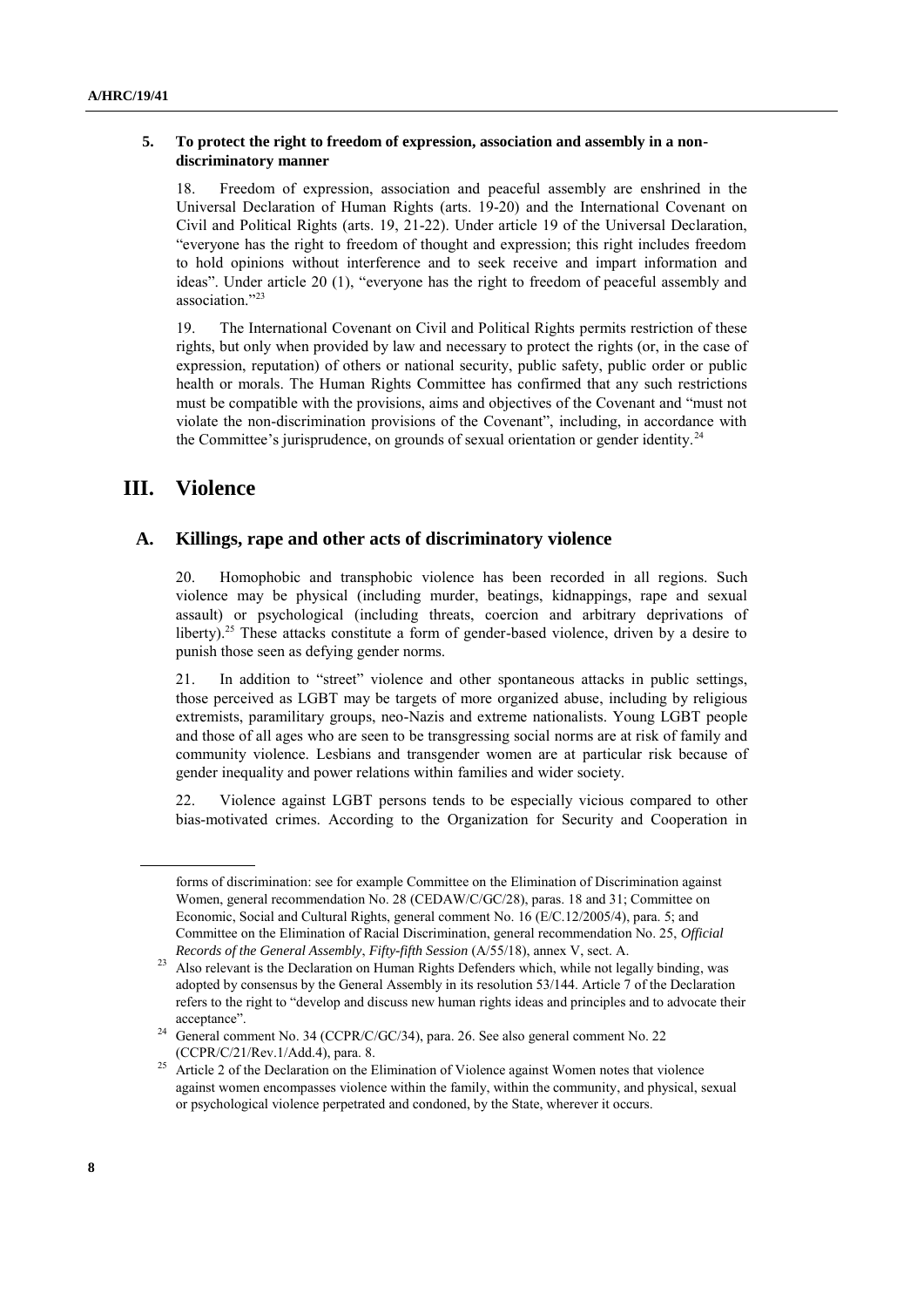#### **5. To protect the right to freedom of expression, association and assembly in a nondiscriminatory manner**

18. Freedom of expression, association and peaceful assembly are enshrined in the Universal Declaration of Human Rights (arts. 19-20) and the International Covenant on Civil and Political Rights (arts. 19, 21-22). Under article 19 of the Universal Declaration, "everyone has the right to freedom of thought and expression; this right includes freedom to hold opinions without interference and to seek receive and impart information and ideas". Under article 20 (1), "everyone has the right to freedom of peaceful assembly and association." 23

19. The International Covenant on Civil and Political Rights permits restriction of these rights, but only when provided by law and necessary to protect the rights (or, in the case of expression, reputation) of others or national security, public safety, public order or public health or morals. The Human Rights Committee has confirmed that any such restrictions must be compatible with the provisions, aims and objectives of the Covenant and "must not violate the non-discrimination provisions of the Covenant", including, in accordance with the Committee's jurisprudence, on grounds of sexual orientation or gender identity.<sup>24</sup>

# **III. Violence**

## **A. Killings, rape and other acts of discriminatory violence**

20. Homophobic and transphobic violence has been recorded in all regions. Such violence may be physical (including murder, beatings, kidnappings, rape and sexual assault) or psychological (including threats, coercion and arbitrary deprivations of liberty).<sup>25</sup> These attacks constitute a form of gender-based violence, driven by a desire to punish those seen as defying gender norms.

21. In addition to "street" violence and other spontaneous attacks in public settings, those perceived as LGBT may be targets of more organized abuse, including by religious extremists, paramilitary groups, neo-Nazis and extreme nationalists. Young LGBT people and those of all ages who are seen to be transgressing social norms are at risk of family and community violence. Lesbians and transgender women are at particular risk because of gender inequality and power relations within families and wider society.

22. Violence against LGBT persons tends to be especially vicious compared to other bias-motivated crimes. According to the Organization for Security and Cooperation in

forms of discrimination: see for example Committee on the Elimination of Discrimination against Women, general recommendation No. 28 (CEDAW/C/GC/28), paras. 18 and 31; Committee on Economic, Social and Cultural Rights, general comment No. 16 (E/C.12/2005/4), para. 5; and Committee on the Elimination of Racial Discrimination, general recommendation No. 25, *Official Records of the General Assembly*, *Fifty-fifth Session* (A/55/18), annex V, sect. A.

<sup>23</sup> Also relevant is the Declaration on Human Rights Defenders which, while not legally binding, was adopted by consensus by the General Assembly in its resolution 53/144. Article 7 of the Declaration refers to the right to "develop and discuss new human rights ideas and principles and to advocate their acceptance".

<sup>24</sup> General comment No. 34 (CCPR/C/GC/34), para. 26. See also general comment No. 22 (CCPR/C/21/Rev.1/Add.4), para. 8.

<sup>&</sup>lt;sup>25</sup> Article 2 of the Declaration on the Elimination of Violence against Women notes that violence against women encompasses violence within the family, within the community, and physical, sexual or psychological violence perpetrated and condoned, by the State, wherever it occurs.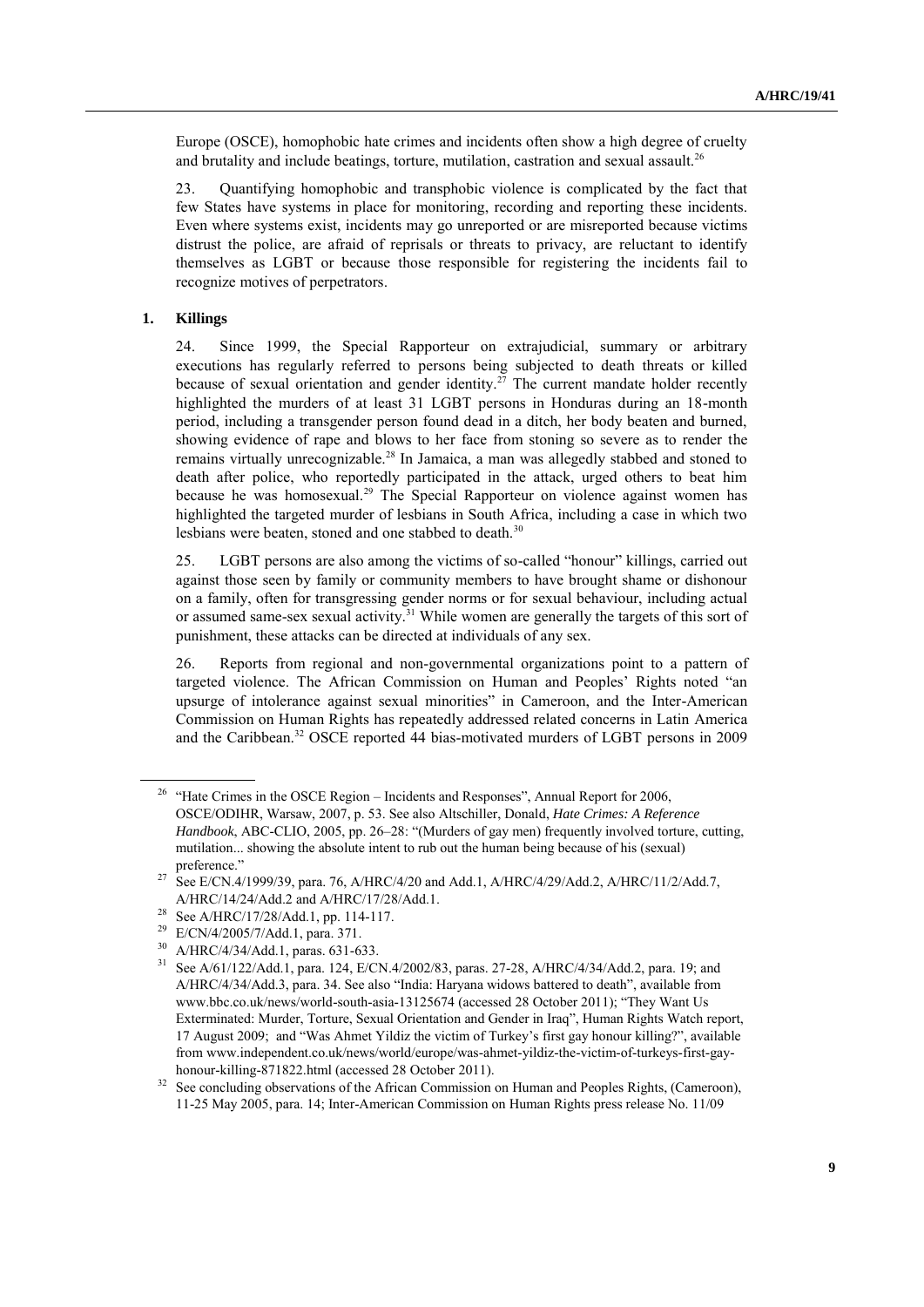Europe (OSCE), homophobic hate crimes and incidents often show a high degree of cruelty and brutality and include beatings, torture, mutilation, castration and sexual assault.<sup>26</sup>

23. Quantifying homophobic and transphobic violence is complicated by the fact that few States have systems in place for monitoring, recording and reporting these incidents. Even where systems exist, incidents may go unreported or are misreported because victims distrust the police, are afraid of reprisals or threats to privacy, are reluctant to identify themselves as LGBT or because those responsible for registering the incidents fail to recognize motives of perpetrators.

#### **1. Killings**

24. Since 1999, the Special Rapporteur on extrajudicial, summary or arbitrary executions has regularly referred to persons being subjected to death threats or killed because of sexual orientation and gender identity.<sup>27</sup> The current mandate holder recently highlighted the murders of at least 31 LGBT persons in Honduras during an 18-month period, including a transgender person found dead in a ditch, her body beaten and burned, showing evidence of rape and blows to her face from stoning so severe as to render the remains virtually unrecognizable.<sup>28</sup> In Jamaica, a man was allegedly stabbed and stoned to death after police, who reportedly participated in the attack, urged others to beat him because he was homosexual.<sup>29</sup> The Special Rapporteur on violence against women has highlighted the targeted murder of lesbians in South Africa, including a case in which two lesbians were beaten, stoned and one stabbed to death.<sup>30</sup>

25. LGBT persons are also among the victims of so-called "honour" killings, carried out against those seen by family or community members to have brought shame or dishonour on a family, often for transgressing gender norms or for sexual behaviour, including actual or assumed same-sex sexual activity.<sup>31</sup> While women are generally the targets of this sort of punishment, these attacks can be directed at individuals of any sex.

26. Reports from regional and non-governmental organizations point to a pattern of targeted violence. The African Commission on Human and Peoples" Rights noted "an upsurge of intolerance against sexual minorities" in Cameroon, and the Inter-American Commission on Human Rights has repeatedly addressed related concerns in Latin America and the Caribbean.<sup>32</sup> OSCE reported 44 bias-motivated murders of LGBT persons in 2009

<sup>30</sup> A/HRC/4/34/Add.1, paras. 631-633.<br><sup>31</sup> See A/61/122/Add.1, para. 124, E/C

<sup>&</sup>lt;sup>26</sup> "Hate Crimes in the OSCE Region – Incidents and Responses", Annual Report for 2006, OSCE/ODIHR, Warsaw, 2007, p. 53. See also Altschiller, Donald, *Hate Crimes: A Reference Handbook*, ABC-CLIO, 2005, pp. 26–28: "(Murders of gay men) frequently involved torture, cutting, mutilation... showing the absolute intent to rub out the human being because of his (sexual) preference."

<sup>&</sup>lt;sup>27</sup> See E/CN.4/1999/39, para. 76, A/HRC/4/20 and Add.1, A/HRC/4/29/Add.2, A/HRC/11/2/Add.7, A/HRC/14/24/Add.2 and A/HRC/17/28/Add.1.

<sup>&</sup>lt;sup>28</sup> See A/HRC/17/28/Add.1, pp. 114-117.<br><sup>29</sup> E/CN/4/2005/7/Add.1, pp. 271

<sup>&</sup>lt;sup>29</sup> E/CN/4/2005/7/Add.1, para. 371.

See A/61/122/Add.1, para. 124, E/CN.4/2002/83, paras. 27-28, A/HRC/4/34/Add.2, para. 19; and A/HRC/4/34/Add.3, para. 34. See also "India: Haryana widows battered to death", available from [www.bbc.co.uk/news/world-south-asia-13125674](http://www.bbc.co.uk/news/world-south-asia-13125674) (accessed 28 October 2011); "They Want Us Exterminated: Murder, Torture, Sexual Orientation and Gender in Iraq", Human Rights Watch report, 17 August 2009; and "Was Ahmet Yildiz the victim of Turkey"s first gay honour killing?", available from www.independent.co.uk/news/world/europe/was-ahmet-yildiz-the-victim-of-turkeys-first-gayhonour-killing-871822.html (accessed 28 October 2011).

<sup>&</sup>lt;sup>32</sup> See concluding observations of the African Commission on Human and Peoples Rights, (Cameroon), 11-25 May 2005, para. 14; Inter-American Commission on Human Rights press release No. 11/09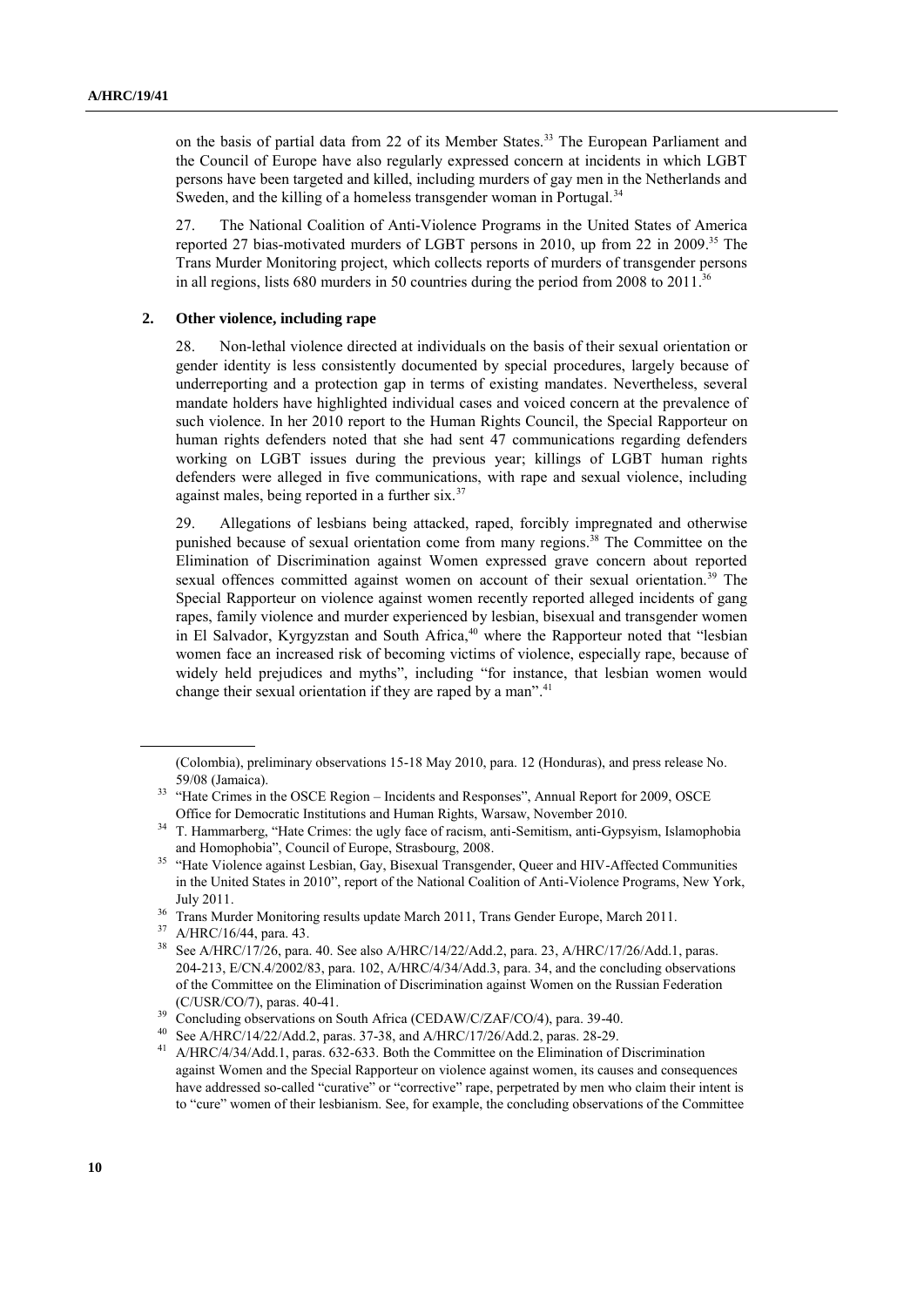on the basis of partial data from 22 of its Member States.<sup>33</sup> The European Parliament and the Council of Europe have also regularly expressed concern at incidents in which LGBT persons have been targeted and killed, including murders of gay men in the Netherlands and Sweden, and the killing of a homeless transgender woman in Portugal.<sup>34</sup>

27. The National Coalition of Anti-Violence Programs in the United States of America reported 27 bias-motivated murders of LGBT persons in 2010, up from 22 in 2009. <sup>35</sup> The Trans Murder Monitoring project, which collects reports of murders of transgender persons in all regions, lists 680 murders in 50 countries during the period from 2008 to 2011.<sup>36</sup>

#### **2. Other violence, including rape**

28. Non-lethal violence directed at individuals on the basis of their sexual orientation or gender identity is less consistently documented by special procedures, largely because of underreporting and a protection gap in terms of existing mandates. Nevertheless, several mandate holders have highlighted individual cases and voiced concern at the prevalence of such violence. In her 2010 report to the Human Rights Council, the Special Rapporteur on human rights defenders noted that she had sent 47 communications regarding defenders working on LGBT issues during the previous year; killings of LGBT human rights defenders were alleged in five communications, with rape and sexual violence, including against males, being reported in a further six.<sup>37</sup>

29. Allegations of lesbians being attacked, raped, forcibly impregnated and otherwise punished because of sexual orientation come from many regions.<sup>38</sup> The Committee on the Elimination of Discrimination against Women expressed grave concern about reported sexual offences committed against women on account of their sexual orientation.<sup>39</sup> The Special Rapporteur on violence against women recently reported alleged incidents of gang rapes, family violence and murder experienced by lesbian, bisexual and transgender women in El Salvador, Kyrgyzstan and South Africa,<sup>40</sup> where the Rapporteur noted that "lesbian women face an increased risk of becoming victims of violence, especially rape, because of widely held prejudices and myths", including "for instance, that lesbian women would change their sexual orientation if they are raped by a man".<sup>41</sup>

<sup>(</sup>Colombia), preliminary observations 15-18 May 2010, para. 12 (Honduras), and press release No. 59/08 (Jamaica).

<sup>&</sup>lt;sup>33</sup> "Hate Crimes in the OSCE Region – Incidents and Responses", Annual Report for 2009, OSCE Office for Democratic Institutions and Human Rights, Warsaw, November 2010.

<sup>&</sup>lt;sup>34</sup> T. Hammarberg, "Hate Crimes: the ugly face of racism, anti-Semitism, anti-Gypsyism, Islamophobia and Homophobia", Council of Europe, Strasbourg, 2008.

<sup>&</sup>lt;sup>35</sup> "Hate Violence against Lesbian, Gay, Bisexual Transgender, Queer and HIV-Affected Communities in the United States in 2010", report of the National Coalition of Anti-Violence Programs, New York, July 2011.

<sup>&</sup>lt;sup>36</sup> Trans Murder Monitoring results update March 2011, Trans Gender Europe, March 2011.

A/HRC/16/44, para. 43.

<sup>38</sup> See A/HRC/17/26, para. 40. See also A/HRC/14/22/Add.2, para. 23, A/HRC/17/26/Add.1, paras. 204-213, E/CN.4/2002/83, para. 102, A/HRC/4/34/Add.3, para. 34, and the concluding observations of the Committee on the Elimination of Discrimination against Women on the Russian Federation (C/USR/CO/7), paras. 40-41.

<sup>&</sup>lt;sup>39</sup> Concluding observations on South Africa (CEDAW/C/ZAF/CO/4), para. 39-40.

See A/HRC/14/22/Add.2, paras. 37-38, and A/HRC/17/26/Add.2, paras. 28-29.

<sup>41</sup> A/HRC/4/34/Add.1, paras. 632-633. Both the Committee on the Elimination of Discrimination against Women and the Special Rapporteur on violence against women, its causes and consequences have addressed so-called "curative" or "corrective" rape, perpetrated by men who claim their intent is to "cure" women of their lesbianism. See, for example, the concluding observations of the Committee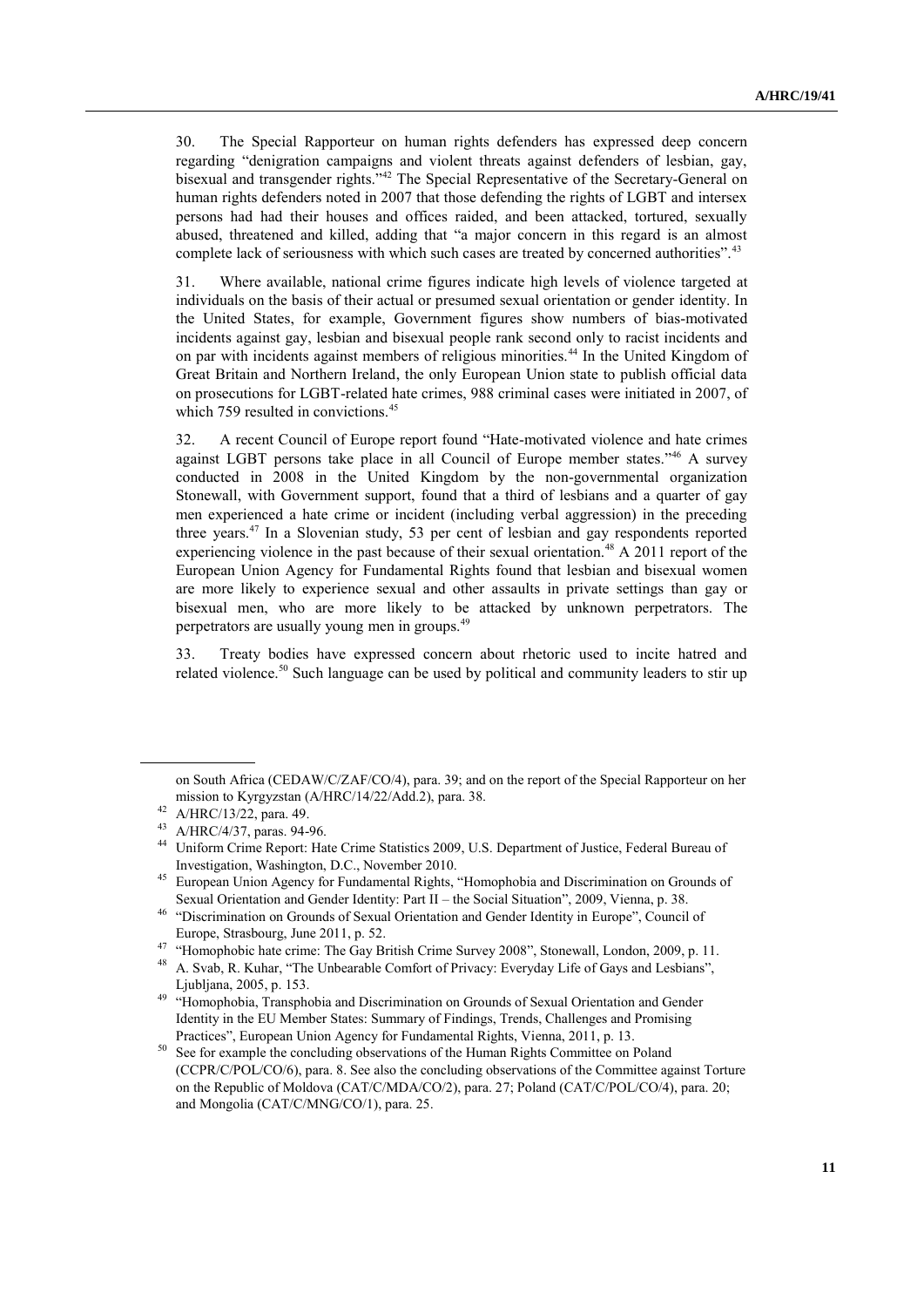30. The Special Rapporteur on human rights defenders has expressed deep concern regarding "denigration campaigns and violent threats against defenders of lesbian, gay, bisexual and transgender rights."<sup>42</sup> The Special Representative of the Secretary-General on human rights defenders noted in 2007 that those defending the rights of LGBT and intersex persons had had their houses and offices raided, and been attacked, tortured, sexually abused, threatened and killed, adding that "a major concern in this regard is an almost complete lack of seriousness with which such cases are treated by concerned authorities".<sup>43</sup>

31. Where available, national crime figures indicate high levels of violence targeted at individuals on the basis of their actual or presumed sexual orientation or gender identity. In the United States, for example, Government figures show numbers of bias-motivated incidents against gay, lesbian and bisexual people rank second only to racist incidents and on par with incidents against members of religious minorities.<sup>44</sup> In the United Kingdom of Great Britain and Northern Ireland, the only European Union state to publish official data on prosecutions for LGBT-related hate crimes, 988 criminal cases were initiated in 2007, of which 759 resulted in convictions.<sup>45</sup>

32. A recent Council of Europe report found "Hate-motivated violence and hate crimes against LGBT persons take place in all Council of Europe member states."<sup>46</sup> A survey conducted in 2008 in the United Kingdom by the non-governmental organization Stonewall, with Government support, found that a third of lesbians and a quarter of gay men experienced a hate crime or incident (including verbal aggression) in the preceding three years. <sup>47</sup> In a Slovenian study, 53 per cent of lesbian and gay respondents reported experiencing violence in the past because of their sexual orientation.<sup>48</sup> A 2011 report of the European Union Agency for Fundamental Rights found that lesbian and bisexual women are more likely to experience sexual and other assaults in private settings than gay or bisexual men, who are more likely to be attacked by unknown perpetrators. The perpetrators are usually young men in groups.<sup>49</sup>

33. Treaty bodies have expressed concern about rhetoric used to incite hatred and related violence.<sup>50</sup> Such language can be used by political and community leaders to stir up

on South Africa (CEDAW/C/ZAF/CO/4), para. 39; and on the report of the Special Rapporteur on her mission to Kyrgyzstan (A/HRC/14/22/Add.2), para. 38.

 $^{42}$  A/HRC/13/22, para. 49.

A/HRC/4/37, paras. 94-96.

<sup>44</sup> Uniform Crime Report: Hate Crime Statistics 2009, U.S. Department of Justice, Federal Bureau of Investigation, Washington, D.C., November 2010.

<sup>&</sup>lt;sup>45</sup> European Union Agency for Fundamental Rights, "Homophobia and Discrimination on Grounds of Sexual Orientation and Gender Identity: Part II – the Social Situation", 2009, Vienna, p. 38.

<sup>46</sup> "Discrimination on Grounds of Sexual Orientation and Gender Identity in Europe", Council of Europe, Strasbourg, June 2011, p. 52.

<sup>&</sup>lt;sup>47</sup> "Homophobic hate crime: The Gay British Crime Survey 2008", Stonewall, London, 2009, p. 11.

<sup>48</sup> A. Svab, R. Kuhar, "The Unbearable Comfort of Privacy: Everyday Life of Gays and Lesbians", Ljubljana, 2005, p. 153.

<sup>49</sup> "Homophobia, Transphobia and Discrimination on Grounds of Sexual Orientation and Gender Identity in the EU Member States: Summary of Findings, Trends, Challenges and Promising Practices", European Union Agency for Fundamental Rights, Vienna, 2011, p. 13.

<sup>50</sup> See for example the concluding observations of the Human Rights Committee on Poland (CCPR/C/POL/CO/6), para. 8. See also the concluding observations of the Committee against Torture on the Republic of Moldova (CAT/C/MDA/CO/2), para. 27; Poland (CAT/C/POL/CO/4), para. 20; and Mongolia (CAT/C/MNG/CO/1), para. 25.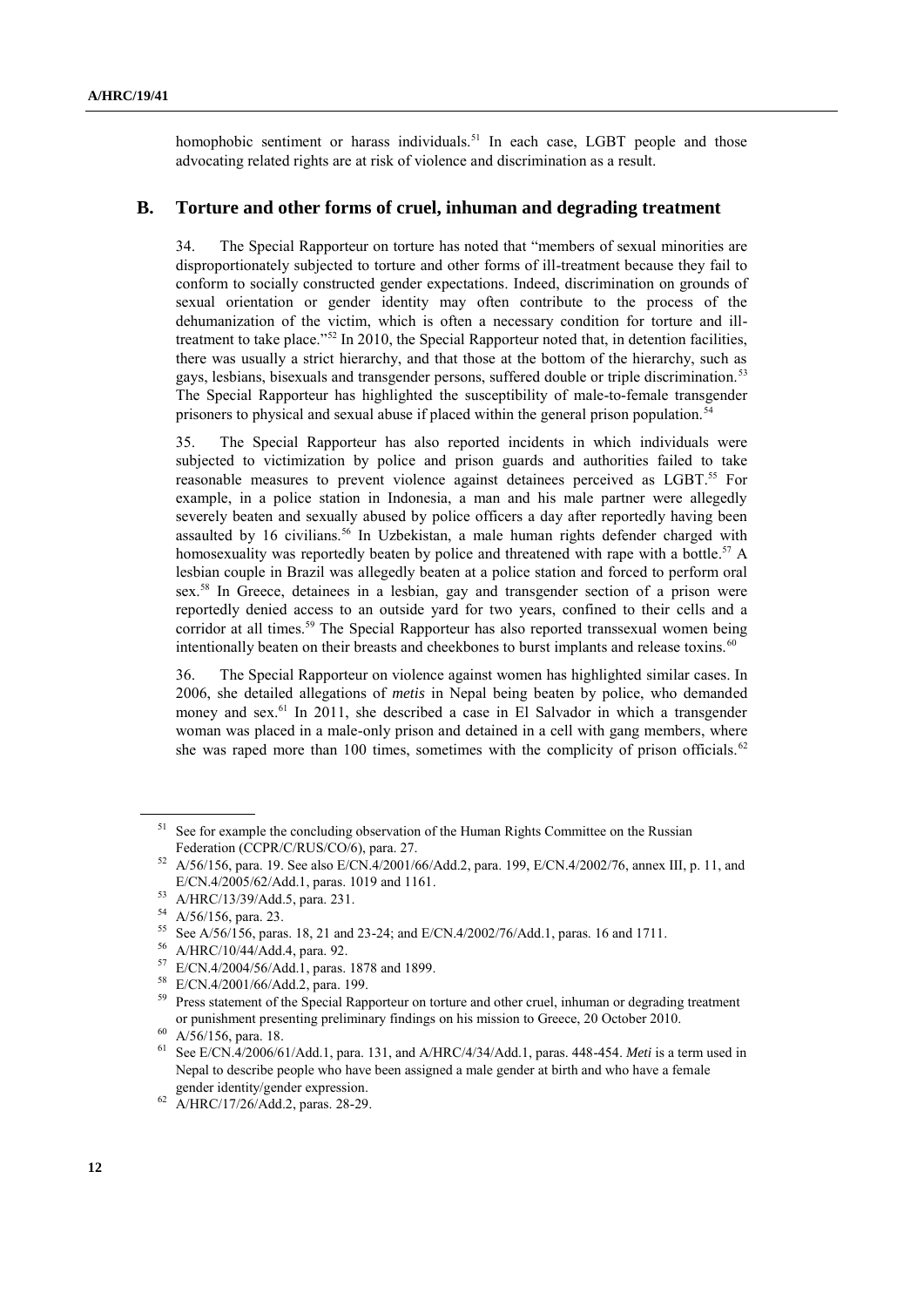homophobic sentiment or harass individuals.<sup>51</sup> In each case, LGBT people and those advocating related rights are at risk of violence and discrimination as a result.

#### **B. Torture and other forms of cruel, inhuman and degrading treatment**

34. The Special Rapporteur on torture has noted that "members of sexual minorities are disproportionately subjected to torture and other forms of ill-treatment because they fail to conform to socially constructed gender expectations. Indeed, discrimination on grounds of sexual orientation or gender identity may often contribute to the process of the dehumanization of the victim, which is often a necessary condition for torture and illtreatment to take place."<sup>52</sup> In 2010, the Special Rapporteur noted that, in detention facilities, there was usually a strict hierarchy, and that those at the bottom of the hierarchy, such as gays, lesbians, bisexuals and transgender persons, suffered double or triple discrimination.<sup>53</sup> The Special Rapporteur has highlighted the susceptibility of male-to-female transgender prisoners to physical and sexual abuse if placed within the general prison population.<sup>54</sup>

35. The Special Rapporteur has also reported incidents in which individuals were subjected to victimization by police and prison guards and authorities failed to take reasonable measures to prevent violence against detainees perceived as LGBT.<sup>55</sup> For example, in a police station in Indonesia, a man and his male partner were allegedly severely beaten and sexually abused by police officers a day after reportedly having been assaulted by 16 civilians.<sup>56</sup> In Uzbekistan, a male human rights defender charged with homosexuality was reportedly beaten by police and threatened with rape with a bottle.<sup>57</sup> A lesbian couple in Brazil was allegedly beaten at a police station and forced to perform oral sex. <sup>58</sup> In Greece, detainees in a lesbian, gay and transgender section of a prison were reportedly denied access to an outside yard for two years, confined to their cells and a corridor at all times.<sup>59</sup> The Special Rapporteur has also reported transsexual women being intentionally beaten on their breasts and cheekbones to burst implants and release toxins.<sup>60</sup>

36. The Special Rapporteur on violence against women has highlighted similar cases. In 2006, she detailed allegations of *metis* in Nepal being beaten by police, who demanded money and sex.<sup>61</sup> In 2011, she described a case in El Salvador in which a transgender woman was placed in a male-only prison and detained in a cell with gang members, where she was raped more than 100 times, sometimes with the complicity of prison officials.<sup>62</sup>

See for example the concluding observation of the Human Rights Committee on the Russian Federation (CCPR/C/RUS/CO/6), para. 27.

 $52$  A/56/156, para. 19. See also E/CN.4/2001/66/Add.2, para. 199, E/CN.4/2002/76, annex III, p. 11, and E/CN.4/2005/62/Add.1, paras. 1019 and 1161.

 $^{53}$  A/HRC/13/39/Add.5, para. 231.

 $^{54}$  A/56/156, para. 23.

<sup>&</sup>lt;sup>55</sup> See A/56/156, paras. 18, 21 and 23-24; and E/CN.4/2002/76/Add.1, paras. 16 and 1711.

 $^{56}$  A/HRC/10/44/Add.4, para. 92.

<sup>57</sup> E/CN.4/2004/56/Add.1, paras. 1878 and 1899.

<sup>58</sup> E/CN.4/2001/66/Add.2, para. 199.

<sup>&</sup>lt;sup>59</sup> Press statement of the Special Rapporteur on torture and other cruel, inhuman or degrading treatment or punishment presenting preliminary findings on his mission to Greece, 20 October 2010.

<sup>60</sup> A/56/156, para. 18.

<sup>61</sup> See E/CN.4/2006/61/Add.1, para. 131, and A/HRC/4/34/Add.1, paras. 448-454. *Meti* is a term used in Nepal to describe people who have been assigned a male gender at birth and who have a female gender identity/gender expression.

<sup>62</sup> A/HRC/17/26/Add.2, paras. 28-29.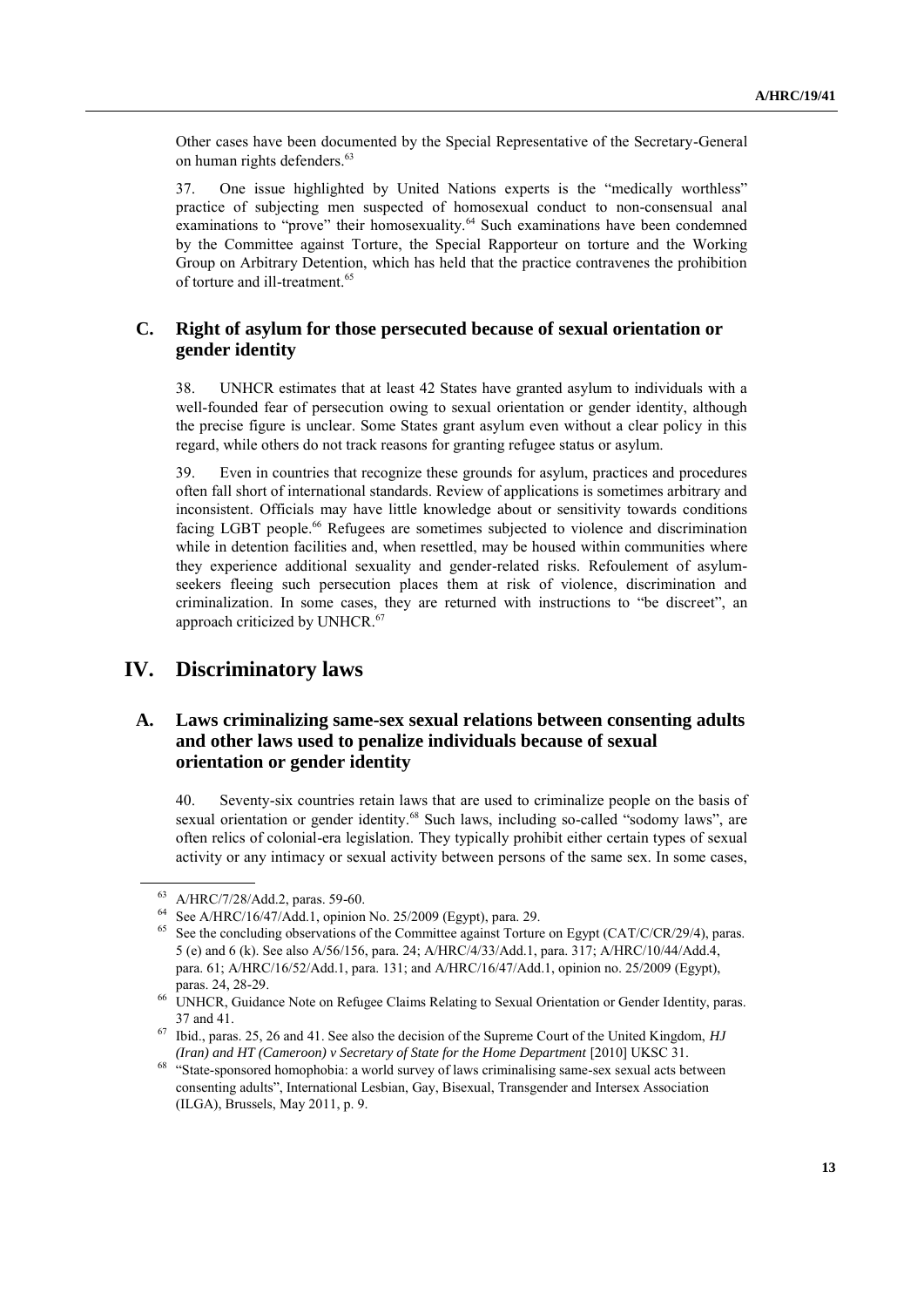Other cases have been documented by the Special Representative of the Secretary-General on human rights defenders. 63

37. One issue highlighted by United Nations experts is the "medically worthless" practice of subjecting men suspected of homosexual conduct to non-consensual anal examinations to "prove" their homosexuality.<sup>64</sup> Such examinations have been condemned by the Committee against Torture, the Special Rapporteur on torture and the Working Group on Arbitrary Detention, which has held that the practice contravenes the prohibition of torture and ill-treatment. 65

## **C. Right of asylum for those persecuted because of sexual orientation or gender identity**

38. UNHCR estimates that at least 42 States have granted asylum to individuals with a well-founded fear of persecution owing to sexual orientation or gender identity, although the precise figure is unclear. Some States grant asylum even without a clear policy in this regard, while others do not track reasons for granting refugee status or asylum.

39. Even in countries that recognize these grounds for asylum, practices and procedures often fall short of international standards. Review of applications is sometimes arbitrary and inconsistent. Officials may have little knowledge about or sensitivity towards conditions facing LGBT people.<sup>66</sup> Refugees are sometimes subjected to violence and discrimination while in detention facilities and, when resettled, may be housed within communities where they experience additional sexuality and gender-related risks. Refoulement of asylumseekers fleeing such persecution places them at risk of violence, discrimination and criminalization. In some cases, they are returned with instructions to "be discreet", an approach criticized by UNHCR.<sup>67</sup>

## **IV. Discriminatory laws**

## **A. Laws criminalizing same-sex sexual relations between consenting adults and other laws used to penalize individuals because of sexual orientation or gender identity**

40. Seventy-six countries retain laws that are used to criminalize people on the basis of sexual orientation or gender identity.<sup>68</sup> Such laws, including so-called "sodomy laws", are often relics of colonial-era legislation. They typically prohibit either certain types of sexual activity or any intimacy or sexual activity between persons of the same sex. In some cases,

 $^{63}$  A/HRC/7/28/Add.2, paras. 59-60.

<sup>&</sup>lt;sup>64</sup> See A/HRC/16/47/Add.1, opinion No. 25/2009 (Egypt), para. 29.<br><sup>65</sup> See the concluding observations of the Committee against Terture

See the concluding observations of the Committee against Torture on Egypt (CAT/C/CR/29/4), paras. 5 (e) and 6 (k). See also A/56/156, para. 24; A/HRC/4/33/Add.1, para. 317; A/HRC/10/44/Add.4, para. 61; A/HRC/16/52/Add.1, para. 131; and A/HRC/16/47/Add.1, opinion no. 25/2009 (Egypt), paras. 24, 28-29.

<sup>&</sup>lt;sup>66</sup> UNHCR, Guidance Note on Refugee Claims Relating to Sexual Orientation or Gender Identity, paras. 37 and 41.

<sup>67</sup> Ibid., paras. 25, 26 and 41. See also the decision of the Supreme Court of the United Kingdom, *HJ (Iran) and HT (Cameroon) v Secretary of State for the Home Department* [2010] UKSC 31.

<sup>&</sup>lt;sup>68</sup> "State-sponsored homophobia: a world survey of laws criminalising same-sex sexual acts between consenting adults", International Lesbian, Gay, Bisexual, Transgender and Intersex Association (ILGA), Brussels, May 2011, p. 9.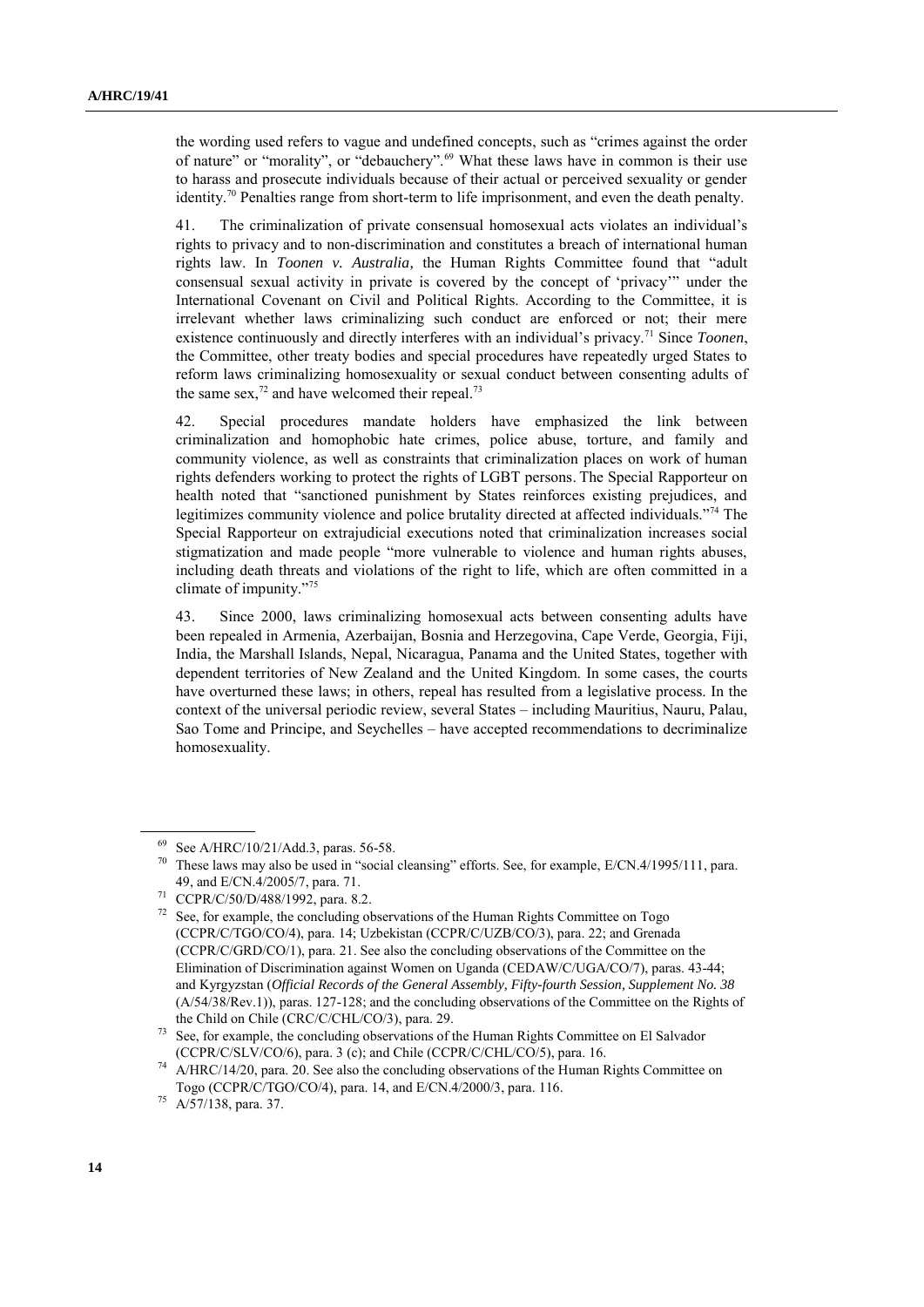the wording used refers to vague and undefined concepts, such as "crimes against the order of nature" or "morality", or "debauchery".<sup>69</sup> What these laws have in common is their use to harass and prosecute individuals because of their actual or perceived sexuality or gender identity.<sup>70</sup> Penalties range from short-term to life imprisonment, and even the death penalty.

41. The criminalization of private consensual homosexual acts violates an individual"s rights to privacy and to non-discrimination and constitutes a breach of international human rights law. In *Toonen v. Australia,* the Human Rights Committee found that "adult consensual sexual activity in private is covered by the concept of "privacy"" under the International Covenant on Civil and Political Rights. According to the Committee, it is irrelevant whether laws criminalizing such conduct are enforced or not; their mere existence continuously and directly interferes with an individual"s privacy.<sup>71</sup> Since *Toonen*, the Committee, other treaty bodies and special procedures have repeatedly urged States to reform laws criminalizing homosexuality or sexual conduct between consenting adults of the same sex, $^{72}$  and have welcomed their repeal.<sup>73</sup>

42. Special procedures mandate holders have emphasized the link between criminalization and homophobic hate crimes, police abuse, torture, and family and community violence, as well as constraints that criminalization places on work of human rights defenders working to protect the rights of LGBT persons. The Special Rapporteur on health noted that "sanctioned punishment by States reinforces existing prejudices, and legitimizes community violence and police brutality directed at affected individuals."<sup>74</sup> The Special Rapporteur on extrajudicial executions noted that criminalization increases social stigmatization and made people "more vulnerable to violence and human rights abuses, including death threats and violations of the right to life, which are often committed in a climate of impunity."<sup>75</sup>

43. Since 2000, laws criminalizing homosexual acts between consenting adults have been repealed in Armenia, Azerbaijan, Bosnia and Herzegovina, Cape Verde, Georgia, Fiji, India, the Marshall Islands, Nepal, Nicaragua, Panama and the United States, together with dependent territories of New Zealand and the United Kingdom. In some cases, the courts have overturned these laws; in others, repeal has resulted from a legislative process. In the context of the universal periodic review, several States – including Mauritius, Nauru, Palau, Sao Tome and Principe, and Seychelles – have accepted recommendations to decriminalize homosexuality.

 $^{69}$  See A/HRC/10/21/Add.3, paras. 56-58.<br><sup>70</sup> These laws may also be used in "coasial.

These laws may also be used in "social cleansing" efforts. See, for example, E/CN.4/1995/111, para. 49, and E/CN.4/2005/7, para. 71.

CCPR/C/50/D/488/1992, para. 8.2.

See, for example, the concluding observations of the Human Rights Committee on Togo (CCPR/C/TGO/CO/4), para. 14; Uzbekistan (CCPR/C/UZB/CO/3), para. 22; and Grenada (CCPR/C/GRD/CO/1), para. 21. See also the concluding observations of the Committee on the Elimination of Discrimination against Women on Uganda (CEDAW/C/UGA/CO/7), paras. 43-44; and Kyrgyzstan (*Official Records of the General Assembly, Fifty-fourth Session, Supplement No. 38* (A/54/38/Rev.1)), paras. 127-128; and the concluding observations of the Committee on the Rights of the Child on Chile (CRC/C/CHL/CO/3), para. 29.

<sup>&</sup>lt;sup>73</sup> See, for example, the concluding observations of the Human Rights Committee on El Salvador (CCPR/C/SLV/CO/6), para. 3 (c); and Chile (CCPR/C/CHL/CO/5), para. 16.

 $74$  A/HRC/14/20, para. 20. See also the concluding observations of the Human Rights Committee on Togo (CCPR/C/TGO/CO/4), para. 14, and E/CN.4/2000/3, para. 116.

<sup>75</sup> A/57/138, para. 37.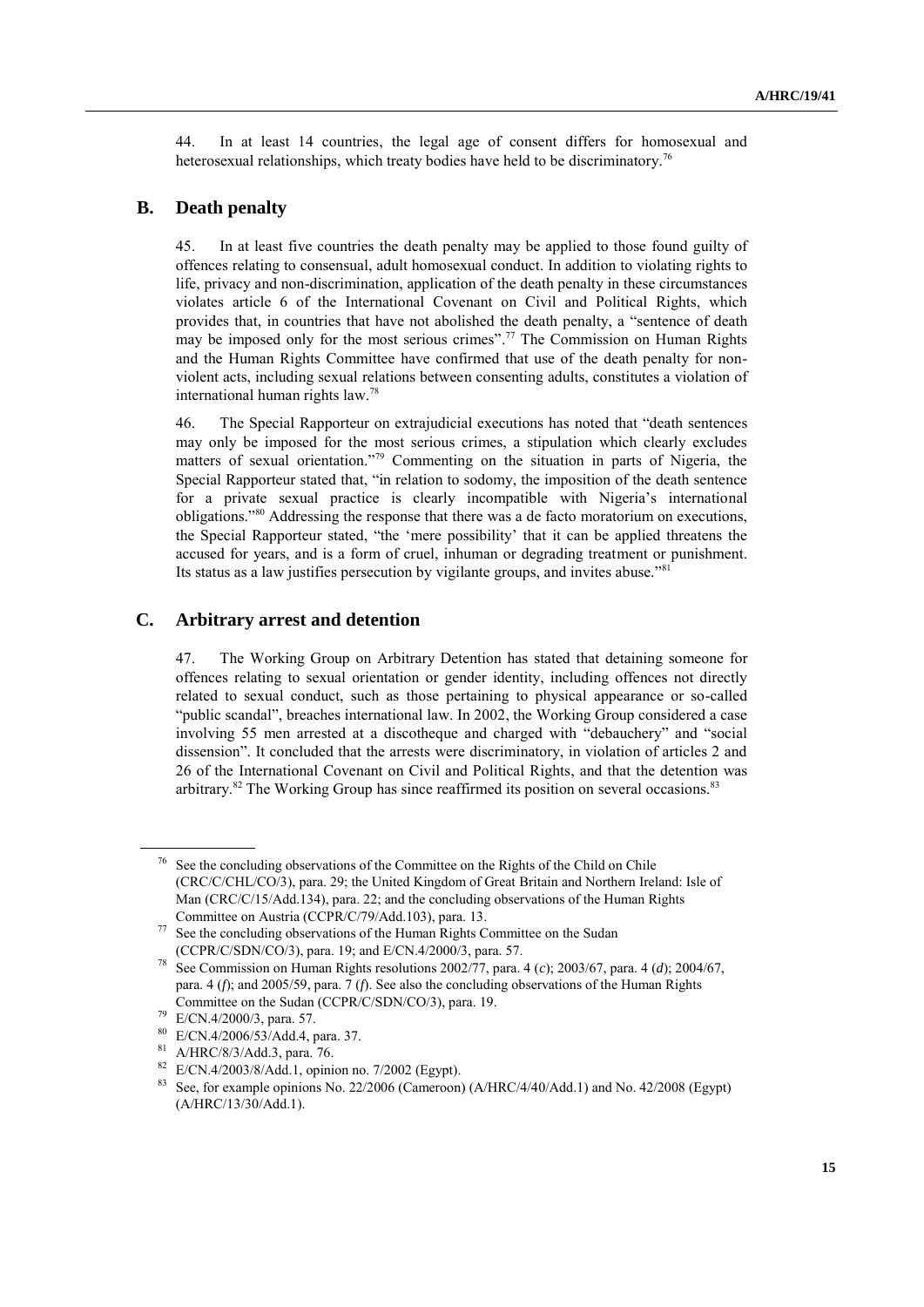44. In at least 14 countries, the legal age of consent differs for homosexual and heterosexual relationships, which treaty bodies have held to be discriminatory.<sup>76</sup>

#### **B. Death penalty**

45. In at least five countries the death penalty may be applied to those found guilty of offences relating to consensual, adult homosexual conduct. In addition to violating rights to life, privacy and non-discrimination, application of the death penalty in these circumstances violates article 6 of the International Covenant on Civil and Political Rights, which provides that, in countries that have not abolished the death penalty, a "sentence of death may be imposed only for the most serious crimes".<sup>77</sup> The Commission on Human Rights and the Human Rights Committee have confirmed that use of the death penalty for nonviolent acts, including sexual relations between consenting adults, constitutes a violation of international human rights law.<sup>78</sup>

46. The Special Rapporteur on extrajudicial executions has noted that "death sentences may only be imposed for the most serious crimes, a stipulation which clearly excludes matters of sexual orientation."<sup>79</sup> Commenting on the situation in parts of Nigeria, the Special Rapporteur stated that, "in relation to sodomy, the imposition of the death sentence for a private sexual practice is clearly incompatible with Nigeria"s international obligations."<sup>80</sup> Addressing the response that there was a de facto moratorium on executions, the Special Rapporteur stated, "the "mere possibility" that it can be applied threatens the accused for years, and is a form of cruel, inhuman or degrading treatment or punishment. Its status as a law justifies persecution by vigilante groups, and invites abuse."<sup>81</sup>

### **C. Arbitrary arrest and detention**

47. The Working Group on Arbitrary Detention has stated that detaining someone for offences relating to sexual orientation or gender identity, including offences not directly related to sexual conduct, such as those pertaining to physical appearance or so-called "public scandal", breaches international law. In 2002, the Working Group considered a case involving 55 men arrested at a discotheque and charged with "debauchery" and "social dissension". It concluded that the arrests were discriminatory, in violation of articles 2 and 26 of the International Covenant on Civil and Political Rights, and that the detention was arbitrary.<sup>82</sup> The Working Group has since reaffirmed its position on several occasions.<sup>83</sup>

See the concluding observations of the Committee on the Rights of the Child on Chile (CRC/C/CHL/CO/3), para. 29; the United Kingdom of Great Britain and Northern Ireland: Isle of Man (CRC/C/15/Add.134), para. 22; and the concluding observations of the Human Rights Committee on Austria (CCPR/C/79/Add.103), para. 13.

See the concluding observations of the Human Rights Committee on the Sudan (CCPR/C/SDN/CO/3), para. 19; and E/CN.4/2000/3, para. 57.

<sup>78</sup> See Commission on Human Rights resolutions 2002/77, para. 4 (*c*); 2003/67, para. 4 (*d*); 2004/67, para. 4 (*f*); and 2005/59, para. 7 (*f*). See also the concluding observations of the Human Rights Committee on the Sudan (CCPR/C/SDN/CO/3), para. 19.

<sup>79</sup> E/CN.4/2000/3, para. 57.

<sup>80</sup> E/CN.4/2006/53/Add.4, para. 37.

<sup>81</sup> A/HRC/8/3/Add.3, para. 76.

 $^{82}$  E/CN.4/2003/8/Add.1, opinion no. 7/2002 (Egypt).<br> $^{83}$  See for eventual opinions No. 22/2006 (Comercent

<sup>83</sup> See, for example opinions No. 22/2006 (Cameroon) (A/HRC/4/40/Add.1) and No. 42/2008 (Egypt) (A/HRC/13/30/Add.1).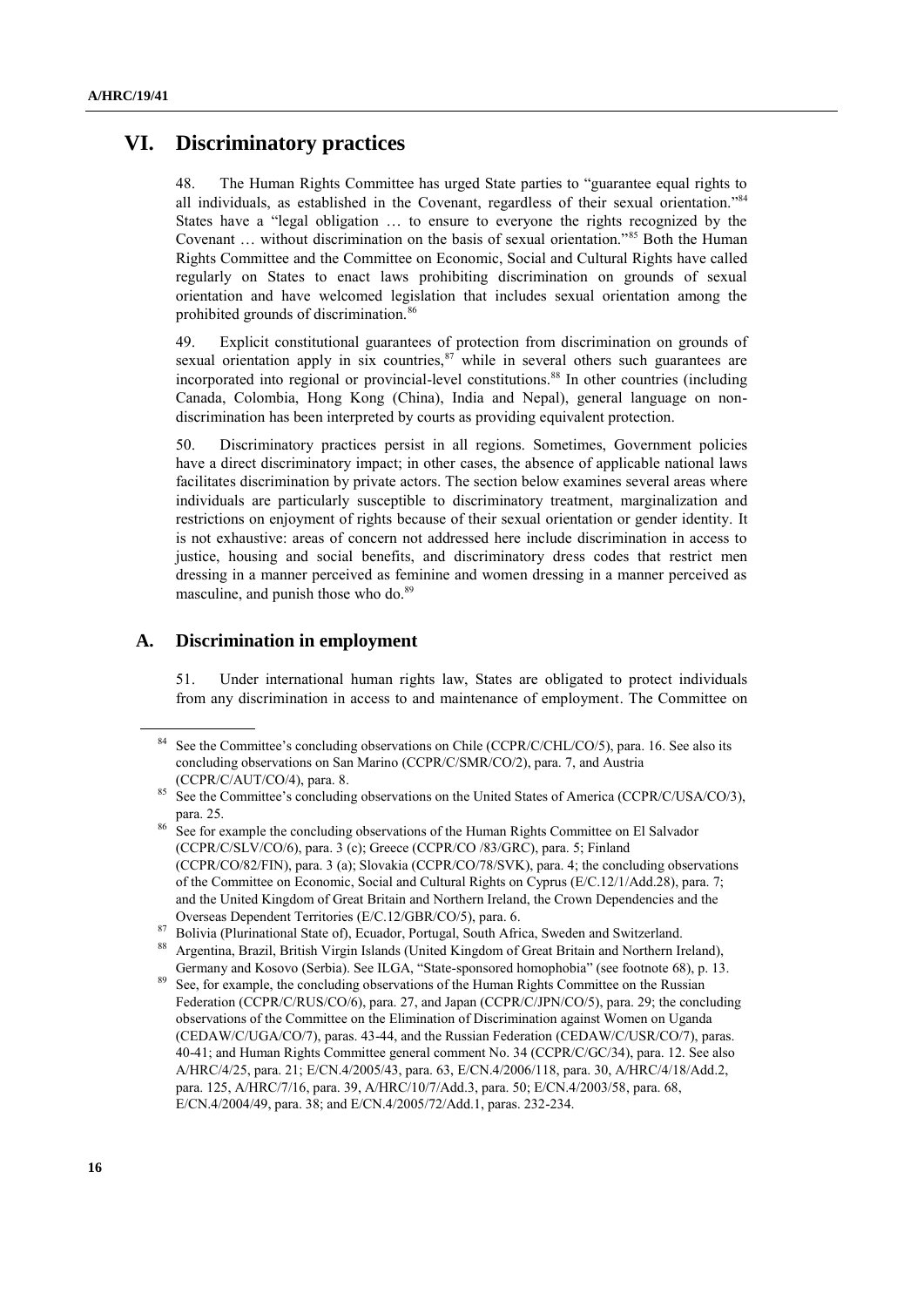## **VI. Discriminatory practices**

48. The Human Rights Committee has urged State parties to "guarantee equal rights to all individuals, as established in the Covenant, regardless of their sexual orientation."<sup>84</sup> States have a "legal obligation … to ensure to everyone the rights recognized by the Covenant … without discrimination on the basis of sexual orientation."<sup>85</sup> Both the Human Rights Committee and the Committee on Economic, Social and Cultural Rights have called regularly on States to enact laws prohibiting discrimination on grounds of sexual orientation and have welcomed legislation that includes sexual orientation among the prohibited grounds of discrimination.<sup>86</sup>

49. Explicit constitutional guarantees of protection from discrimination on grounds of sexual orientation apply in six countries, $\frac{87}{3}$  while in several others such guarantees are incorporated into regional or provincial-level constitutions.<sup>88</sup> In other countries (including Canada, Colombia, Hong Kong (China), India and Nepal), general language on nondiscrimination has been interpreted by courts as providing equivalent protection.

50. Discriminatory practices persist in all regions. Sometimes, Government policies have a direct discriminatory impact; in other cases, the absence of applicable national laws facilitates discrimination by private actors. The section below examines several areas where individuals are particularly susceptible to discriminatory treatment, marginalization and restrictions on enjoyment of rights because of their sexual orientation or gender identity. It is not exhaustive: areas of concern not addressed here include discrimination in access to justice, housing and social benefits, and discriminatory dress codes that restrict men dressing in a manner perceived as feminine and women dressing in a manner perceived as masculine, and punish those who do.<sup>89</sup>

### **A. Discrimination in employment**

51. Under international human rights law, States are obligated to protect individuals from any discrimination in access to and maintenance of employment. The Committee on

<sup>&</sup>lt;sup>84</sup> See the Committee's concluding observations on Chile (CCPR/C/CHL/CO/5), para. 16. See also its concluding observations on San Marino (CCPR/C/SMR/CO/2), para. 7, and Austria (CCPR/C/AUT/CO/4), para. 8.

See the Committee's concluding observations on the United States of America (CCPR/C/USA/CO/3), para. 25.

<sup>&</sup>lt;sup>86</sup> See for example the concluding observations of the Human Rights Committee on El Salvador (CCPR/C/SLV/CO/6), para. 3 (c); Greece (CCPR/CO /83/GRC), para. 5; Finland (CCPR/CO/82/FIN), para. 3 (a); Slovakia (CCPR/CO/78/SVK), para. 4; the concluding observations of the Committee on Economic, Social and Cultural Rights on Cyprus (E/C.12/1/Add.28), para. 7; and the United Kingdom of Great Britain and Northern Ireland, the Crown Dependencies and the Overseas Dependent Territories (E/C.12/GBR/CO/5), para. 6.

<sup>&</sup>lt;sup>87</sup> Bolivia (Plurinational State of), Ecuador, Portugal, South Africa, Sweden and Switzerland.

<sup>88</sup> Argentina, Brazil, British Virgin Islands (United Kingdom of Great Britain and Northern Ireland), Germany and Kosovo (Serbia). See ILGA, "State-sponsored homophobia" (see footnote 68), p. 13.

See, for example, the concluding observations of the Human Rights Committee on the Russian Federation (CCPR/C/RUS/CO/6), para. 27, and Japan (CCPR/C/JPN/CO/5), para. 29; the concluding observations of the Committee on the Elimination of Discrimination against Women on Uganda (CEDAW/C/UGA/CO/7), paras. 43-44, and the Russian Federation (CEDAW/C/USR/CO/7), paras. 40-41; and Human Rights Committee general comment No. 34 (CCPR/C/GC/34), para. 12. See also A/HRC/4/25, para. 21; E/CN.4/2005/43, para. 63, E/CN.4/2006/118, para. 30, A/HRC/4/18/Add.2, para. 125, A/HRC/7/16, para. 39, A/HRC/10/7/Add.3, para. 50; E/CN.4/2003/58, para. 68, E/CN.4/2004/49, para. 38; and E/CN.4/2005/72/Add.1, paras. 232-234.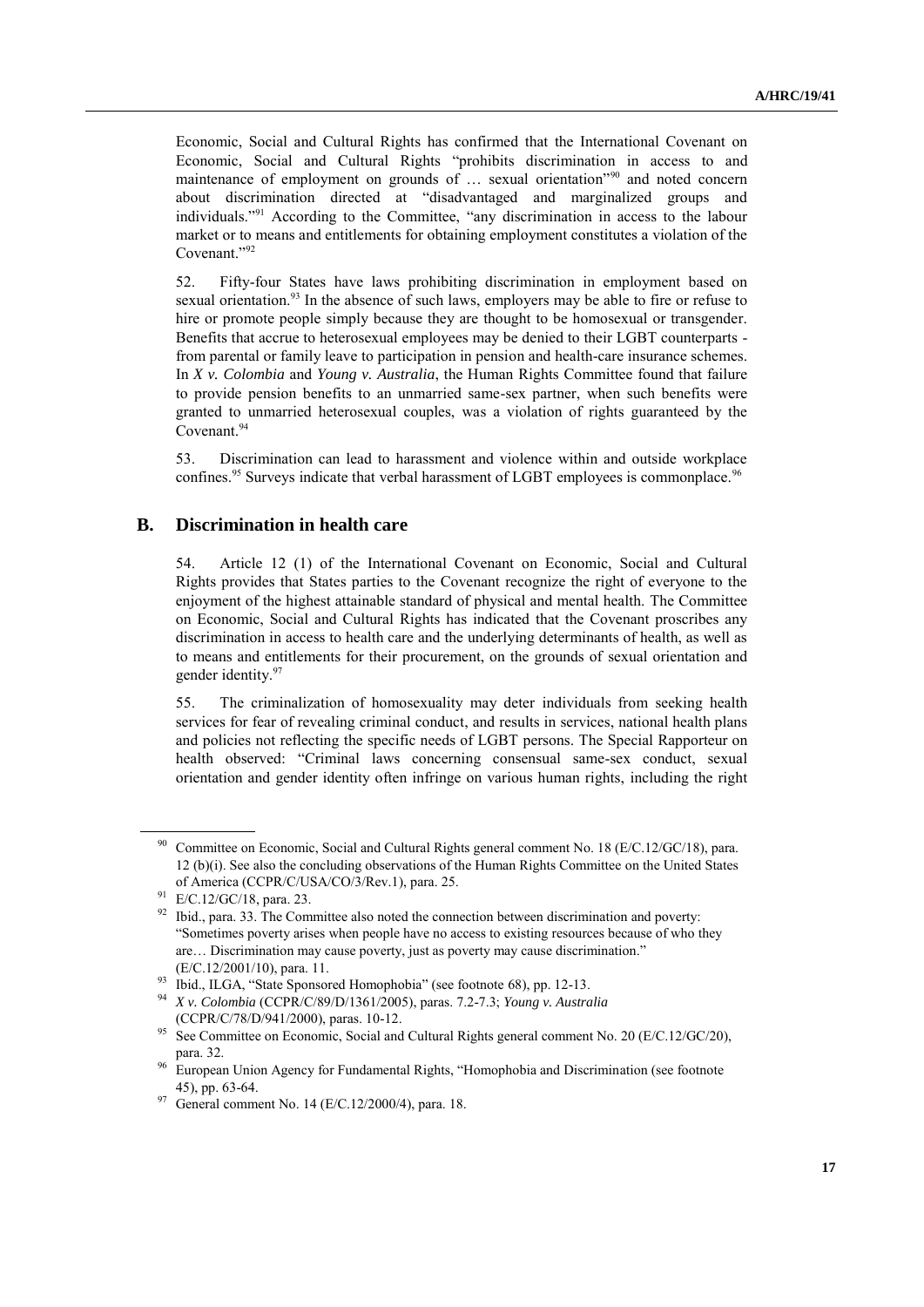Economic, Social and Cultural Rights has confirmed that the International Covenant on Economic, Social and Cultural Rights "prohibits discrimination in access to and maintenance of employment on grounds of ... sexual orientation<sup>"90</sup> and noted concern about discrimination directed at "disadvantaged and marginalized groups and individuals."<sup>91</sup> According to the Committee, "any discrimination in access to the labour market or to means and entitlements for obtaining employment constitutes a violation of the Covenant."<sup>92</sup>

52. Fifty-four States have laws prohibiting discrimination in employment based on sexual orientation.<sup>93</sup> In the absence of such laws, employers may be able to fire or refuse to hire or promote people simply because they are thought to be homosexual or transgender. Benefits that accrue to heterosexual employees may be denied to their LGBT counterparts from parental or family leave to participation in pension and health-care insurance schemes. In *X v. Colombia* and *Young v. Australia*, the Human Rights Committee found that failure to provide pension benefits to an unmarried same-sex partner, when such benefits were granted to unmarried heterosexual couples, was a violation of rights guaranteed by the Covenant.<sup>94</sup>

53. Discrimination can lead to harassment and violence within and outside workplace confines.<sup>95</sup> Surveys indicate that verbal harassment of LGBT employees is commonplace.<sup>96</sup>

#### **B. Discrimination in health care**

54. Article 12 (1) of the International Covenant on Economic, Social and Cultural Rights provides that States parties to the Covenant recognize the right of everyone to the enjoyment of the highest attainable standard of physical and mental health. The Committee on Economic, Social and Cultural Rights has indicated that the Covenant proscribes any discrimination in access to health care and the underlying determinants of health, as well as to means and entitlements for their procurement, on the grounds of sexual orientation and gender identity. 97

55. The criminalization of homosexuality may deter individuals from seeking health services for fear of revealing criminal conduct, and results in services, national health plans and policies not reflecting the specific needs of LGBT persons. The Special Rapporteur on health observed: "Criminal laws concerning consensual same-sex conduct, sexual orientation and gender identity often infringe on various human rights, including the right

<sup>90</sup> Committee on Economic, Social and Cultural Rights general comment No. 18 (E/C.12/GC/18), para. 12 (b)(i). See also the concluding observations of the Human Rights Committee on the United States of America (CCPR/C/USA/CO/3/Rev.1), para. 25.

<sup>91</sup> E/C.12/GC/18, para. 23.

 $92$  Ibid., para. 33. The Committee also noted the connection between discrimination and poverty: "Sometimes poverty arises when people have no access to existing resources because of who they are… Discrimination may cause poverty, just as poverty may cause discrimination." (E/C.12/2001/10), para. 11.

<sup>&</sup>lt;sup>93</sup> Ibid., ILGA, "State Sponsored Homophobia" (see footnote 68), pp. 12-13.<br><sup>94</sup> Yu Calambia (CCDD (C/90/D/1261/2005), pages 2.2.2.2. Yuungu August

<sup>94</sup> *X v. Colombia* (CCPR/C/89/D/1361/2005), paras. 7.2-7.3; *Young v. Australia*  (CCPR/C/78/D/941/2000), paras. 10-12.

<sup>&</sup>lt;sup>95</sup> See Committee on Economic, Social and Cultural Rights general comment No. 20 (E/C.12/GC/20), para. 32.

<sup>&</sup>lt;sup>96</sup> European Union Agency for Fundamental Rights, "Homophobia and Discrimination (see footnote 45), pp. 63-64.

<sup>97</sup> General comment No. 14 (E/C.12/2000/4), para. 18.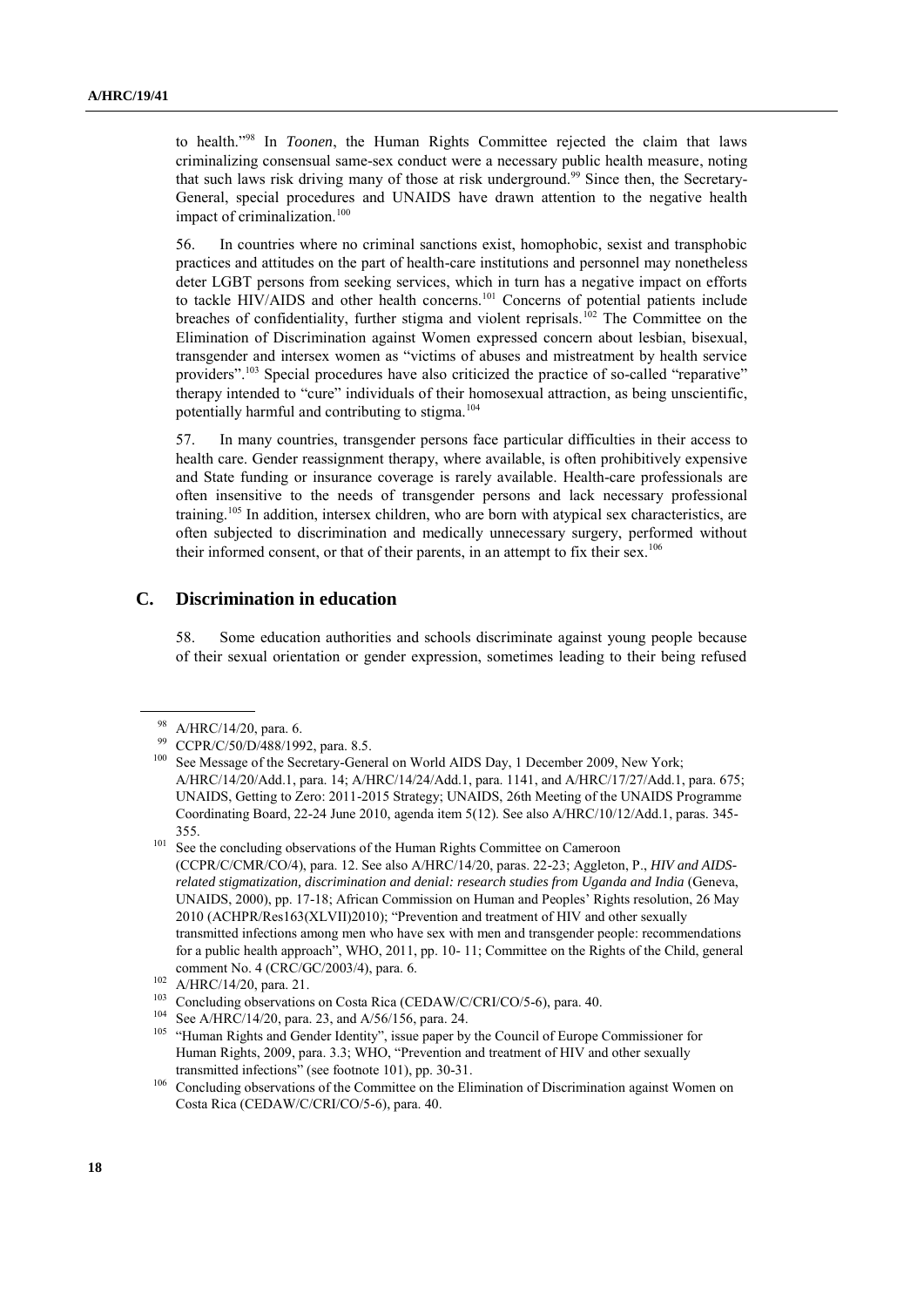to health." <sup>98</sup> In *Toonen*, the Human Rights Committee rejected the claim that laws criminalizing consensual same-sex conduct were a necessary public health measure, noting that such laws risk driving many of those at risk underground.<sup>99</sup> Since then, the Secretary-General, special procedures and UNAIDS have drawn attention to the negative health impact of criminalization.<sup>100</sup>

56. In countries where no criminal sanctions exist, homophobic, sexist and transphobic practices and attitudes on the part of health-care institutions and personnel may nonetheless deter LGBT persons from seeking services, which in turn has a negative impact on efforts to tackle HIV/AIDS and other health concerns.<sup>101</sup> Concerns of potential patients include breaches of confidentiality, further stigma and violent reprisals.<sup>102</sup> The Committee on the Elimination of Discrimination against Women expressed concern about lesbian, bisexual, transgender and intersex women as "victims of abuses and mistreatment by health service providers".<sup>103</sup> Special procedures have also criticized the practice of so-called "reparative" therapy intended to "cure" individuals of their homosexual attraction, as being unscientific, potentially harmful and contributing to stigma.<sup>104</sup>

57. In many countries, transgender persons face particular difficulties in their access to health care. Gender reassignment therapy, where available, is often prohibitively expensive and State funding or insurance coverage is rarely available. Health-care professionals are often insensitive to the needs of transgender persons and lack necessary professional training.<sup>105</sup> In addition, intersex children, who are born with atypical sex characteristics, are often subjected to discrimination and medically unnecessary surgery, performed without their informed consent, or that of their parents, in an attempt to fix their sex.<sup>106</sup>

### **C. Discrimination in education**

58. Some education authorities and schools discriminate against young people because of their sexual orientation or gender expression, sometimes leading to their being refused

<sup>98</sup> A/HRC/14/20, para. 6.

<sup>99</sup> CCPR/C/50/D/488/1992, para. 8.5.

<sup>&</sup>lt;sup>100</sup> See Message of the Secretary-General on World AIDS Day, 1 December 2009, New York; A/HRC/14/20/Add.1, para. 14; A/HRC/14/24/Add.1, para. 1141, and A/HRC/17/27/Add.1, para. 675; UNAIDS, Getting to Zero: 2011-2015 Strategy; UNAIDS, 26th Meeting of the UNAIDS Programme Coordinating Board, 22-24 June 2010, agenda item 5(12). See also A/HRC/10/12/Add.1, paras. 345- 355.

<sup>&</sup>lt;sup>101</sup> See the concluding observations of the Human Rights Committee on Cameroon (CCPR/C/CMR/CO/4), para. 12. See also A/HRC/14/20, paras. 22-23; Aggleton, P., *HIV and AIDSrelated stigmatization, discrimination and denial: research studies from Uganda and India* (Geneva, UNAIDS, 2000), pp. 17-18; African Commission on Human and Peoples" Rights resolution, 26 May 2010 (ACHPR/Res163(XLVII)2010); "Prevention and treatment of HIV and other sexually transmitted infections among men who have sex with men and transgender people: recommendations for a public health approach", WHO, 2011, pp. 10- 11; Committee on the Rights of the Child, general comment No. 4 (CRC/GC/2003/4), para. 6.

 $102$  A/HRC/14/20, para. 21.

<sup>&</sup>lt;sup>103</sup> Concluding observations on Costa Rica (CEDAW/C/CRI/CO/5-6), para. 40.

<sup>104</sup> See A/HRC/14/20, para. 23, and A/56/156, para. 24.

<sup>&</sup>lt;sup>105</sup> "Human Rights and Gender Identity", issue paper by the Council of Europe Commissioner for Human Rights, 2009, para. 3.3; WHO, "Prevention and treatment of HIV and other sexually transmitted infections" (see footnote 101), pp. 30-31.

<sup>&</sup>lt;sup>106</sup> Concluding observations of the Committee on the Elimination of Discrimination against Women on Costa Rica (CEDAW/C/CRI/CO/5-6), para. 40.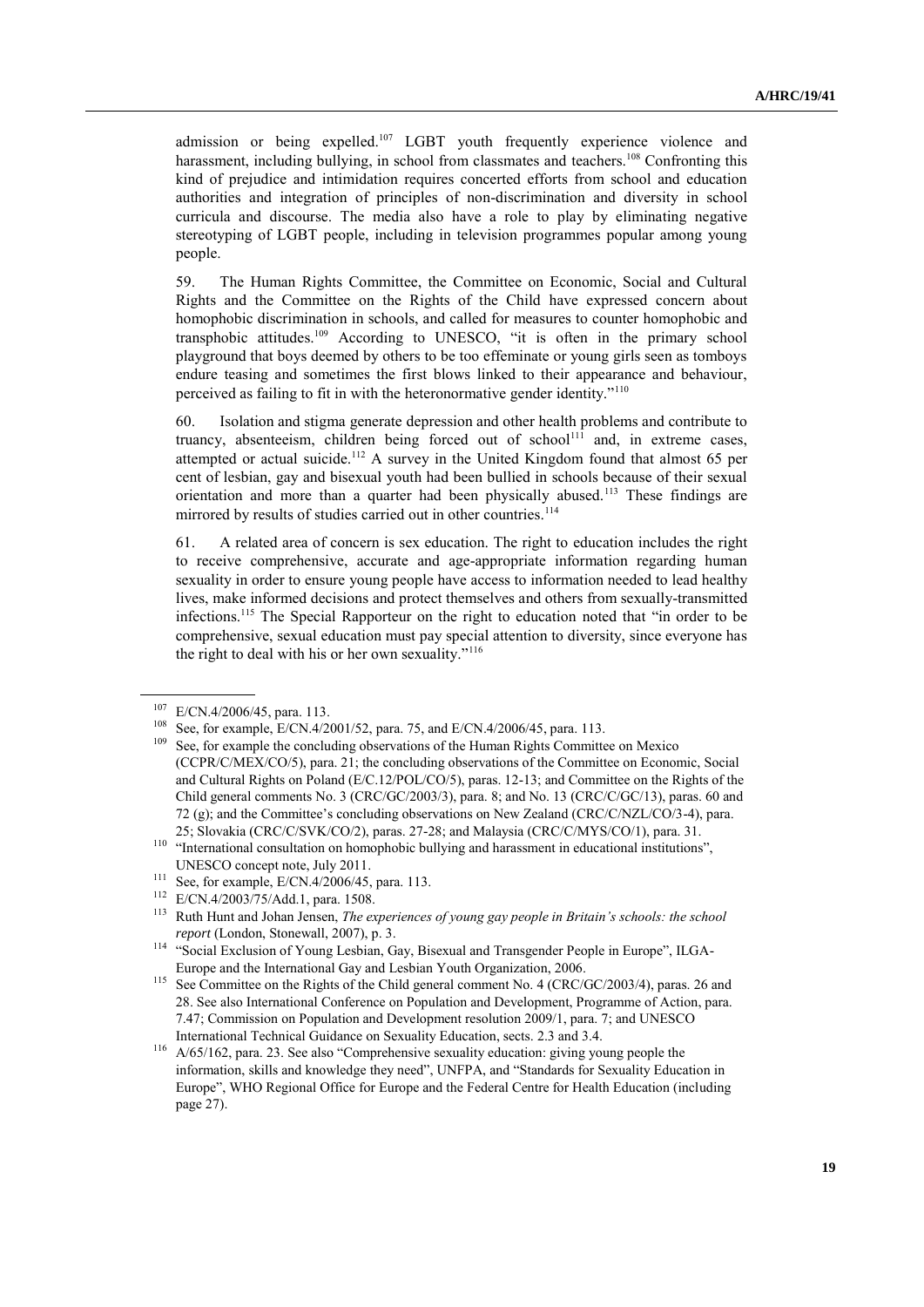admission or being expelled.<sup>107</sup> LGBT youth frequently experience violence and harassment, including bullying, in school from classmates and teachers.<sup>108</sup> Confronting this kind of prejudice and intimidation requires concerted efforts from school and education authorities and integration of principles of non-discrimination and diversity in school curricula and discourse. The media also have a role to play by eliminating negative stereotyping of LGBT people, including in television programmes popular among young people.

59. The Human Rights Committee, the Committee on Economic, Social and Cultural Rights and the Committee on the Rights of the Child have expressed concern about homophobic discrimination in schools, and called for measures to counter homophobic and transphobic attitudes.<sup>109</sup> According to UNESCO, "it is often in the primary school playground that boys deemed by others to be too effeminate or young girls seen as tomboys endure teasing and sometimes the first blows linked to their appearance and behaviour, perceived as failing to fit in with the heteronormative gender identity."<sup>110</sup>

60. Isolation and stigma generate depression and other health problems and contribute to truancy, absenteeism, children being forced out of school<sup>111</sup> and, in extreme cases, attempted or actual suicide.<sup>112</sup> A survey in the United Kingdom found that almost 65 per cent of lesbian, gay and bisexual youth had been bullied in schools because of their sexual orientation and more than a quarter had been physically abused.<sup>113</sup> These findings are mirrored by results of studies carried out in other countries.<sup>114</sup>

61. A related area of concern is sex education. The right to education includes the right to receive comprehensive, accurate and age-appropriate information regarding human sexuality in order to ensure young people have access to information needed to lead healthy lives, make informed decisions and protect themselves and others from sexually-transmitted infections.<sup>115</sup> The Special Rapporteur on the right to education noted that "in order to be comprehensive, sexual education must pay special attention to diversity, since everyone has the right to deal with his or her own sexuality."<sup>116</sup>

<sup>107</sup> E/CN.4/2006/45, para. 113.

<sup>108</sup> See, for example, E/CN.4/2001/52, para. 75, and E/CN.4/2006/45, para. 113.

<sup>&</sup>lt;sup>109</sup> See, for example the concluding observations of the Human Rights Committee on Mexico (CCPR/C/MEX/CO/5), para. 21; the concluding observations of the Committee on Economic, Social and Cultural Rights on Poland (E/C.12/POL/CO/5), paras. 12-13; and Committee on the Rights of the Child general comments No. 3 (CRC/GC/2003/3), para. 8; and No. 13 (CRC/C/GC/13), paras. 60 and 72 (g); and the Committee"s concluding observations on New Zealand (CRC/C/NZL/CO/3-4), para. 25; Slovakia (CRC/C/SVK/CO/2), paras. 27-28; and Malaysia (CRC/C/MYS/CO/1), para. 31.

<sup>&</sup>lt;sup>110</sup> "International consultation on homophobic bullying and harassment in educational institutions", UNESCO concept note, July 2011.

<sup>111</sup> See, for example, E/CN.4/2006/45, para. 113.

<sup>&</sup>lt;sup>112</sup> E/CN.4/2003/75/Add.1, para. 1508.

<sup>113</sup> Ruth Hunt and Johan Jensen, *The experiences of young gay people in Britain's schools: the school report* (London, Stonewall, 2007), p. 3.

<sup>114</sup> "Social Exclusion of Young Lesbian, Gay, Bisexual and Transgender People in Europe", ILGA-Europe and the International Gay and Lesbian Youth Organization, 2006.

<sup>&</sup>lt;sup>115</sup> See Committee on the Rights of the Child general comment No. 4 (CRC/GC/2003/4), paras. 26 and 28. See also International Conference on Population and Development, Programme of Action, para. 7.47; Commission on Population and Development resolution 2009/1, para. 7; and UNESCO International Technical Guidance on Sexuality Education, sects. 2.3 and 3.4.

<sup>116</sup> A/65/162, para. 23. See also "Comprehensive sexuality education: giving young people the information, skills and knowledge they need", UNFPA, and "Standards for Sexuality Education in Europe", WHO Regional Office for Europe and the Federal Centre for Health Education (including page 27).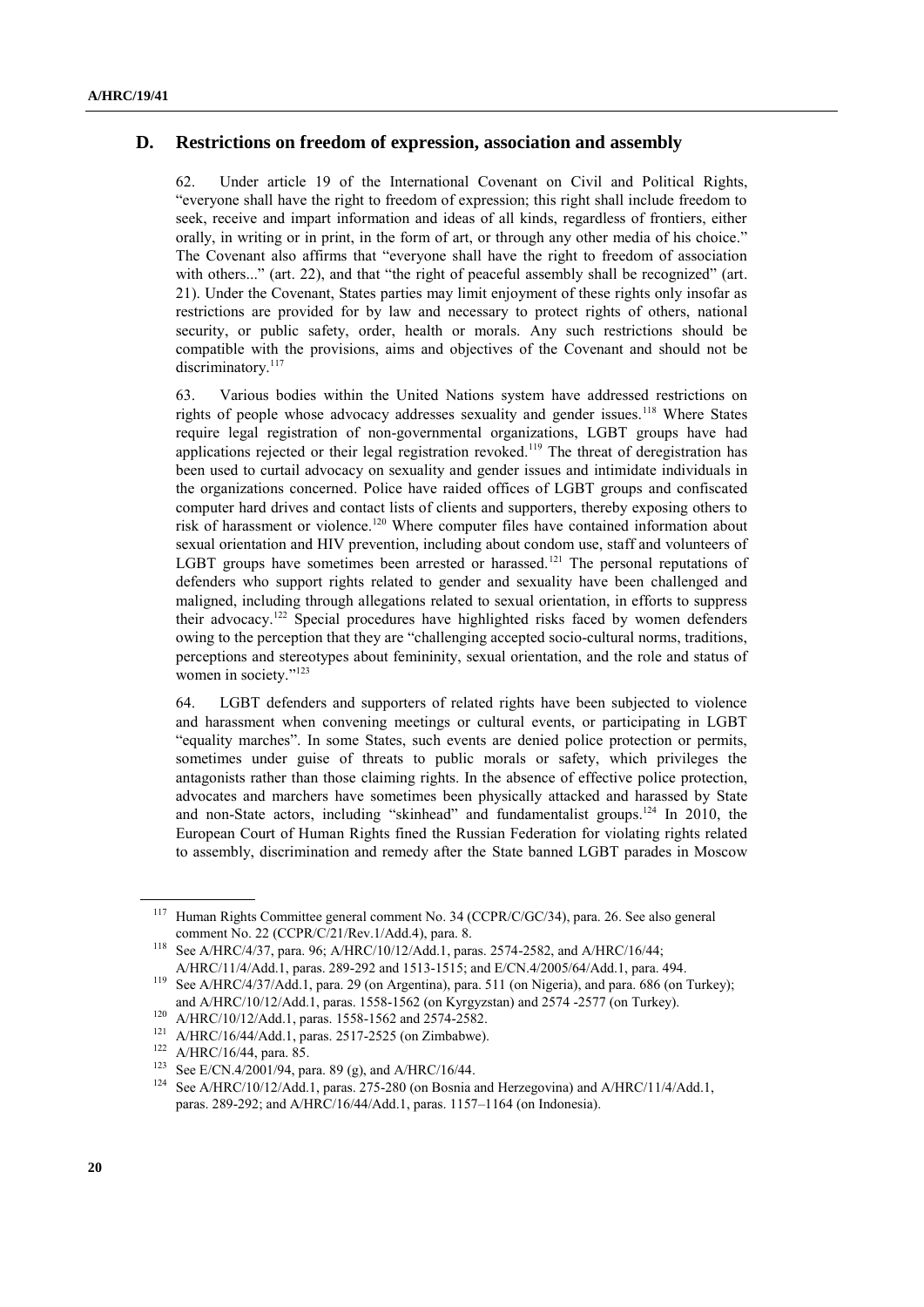#### **D. Restrictions on freedom of expression, association and assembly**

62. Under article 19 of the International Covenant on Civil and Political Rights, "everyone shall have the right to freedom of expression; this right shall include freedom to seek, receive and impart information and ideas of all kinds, regardless of frontiers, either orally, in writing or in print, in the form of art, or through any other media of his choice." The Covenant also affirms that "everyone shall have the right to freedom of association with others..." (art. 22), and that "the right of peaceful assembly shall be recognized" (art. 21). Under the Covenant, States parties may limit enjoyment of these rights only insofar as restrictions are provided for by law and necessary to protect rights of others, national security, or public safety, order, health or morals. Any such restrictions should be compatible with the provisions, aims and objectives of the Covenant and should not be discriminatory.<sup>117</sup>

63. Various bodies within the United Nations system have addressed restrictions on rights of people whose advocacy addresses sexuality and gender issues.<sup>118</sup> Where States require legal registration of non-governmental organizations, LGBT groups have had applications rejected or their legal registration revoked.<sup>119</sup> The threat of deregistration has been used to curtail advocacy on sexuality and gender issues and intimidate individuals in the organizations concerned. Police have raided offices of LGBT groups and confiscated computer hard drives and contact lists of clients and supporters, thereby exposing others to risk of harassment or violence.<sup>120</sup> Where computer files have contained information about sexual orientation and HIV prevention, including about condom use, staff and volunteers of LGBT groups have sometimes been arrested or harassed.<sup>121</sup> The personal reputations of defenders who support rights related to gender and sexuality have been challenged and maligned, including through allegations related to sexual orientation, in efforts to suppress their advocacy.<sup>122</sup> Special procedures have highlighted risks faced by women defenders owing to the perception that they are "challenging accepted socio-cultural norms, traditions, perceptions and stereotypes about femininity, sexual orientation, and the role and status of women in society."<sup>123</sup>

64. LGBT defenders and supporters of related rights have been subjected to violence and harassment when convening meetings or cultural events, or participating in LGBT "equality marches". In some States, such events are denied police protection or permits, sometimes under guise of threats to public morals or safety, which privileges the antagonists rather than those claiming rights. In the absence of effective police protection, advocates and marchers have sometimes been physically attacked and harassed by State and non-State actors, including "skinhead" and fundamentalist groups.<sup>124</sup> In 2010, the European Court of Human Rights fined the Russian Federation for violating rights related to assembly, discrimination and remedy after the State banned LGBT parades in Moscow

<sup>&</sup>lt;sup>117</sup> Human Rights Committee general comment No. 34 (CCPR/C/GC/34), para. 26. See also general comment No. 22 (CCPR/C/21/Rev.1/Add.4), para. 8.

<sup>118</sup> See A/HRC/4/37, para. 96; A/HRC/10/12/Add.1, paras. 2574-2582, and A/HRC/16/44; A/HRC/11/4/Add.1, paras. 289-292 and 1513-1515; and E/CN.4/2005/64/Add.1, para. 494.

<sup>119</sup> See A/HRC/4/37/Add.1, para. 29 (on Argentina), para. 511 (on Nigeria), and para. 686 (on Turkey); and A/HRC/10/12/Add.1, paras. 1558-1562 (on Kyrgyzstan) and 2574 -2577 (on Turkey).

<sup>120</sup> A/HRC/10/12/Add.1, paras. 1558-1562 and 2574-2582.

<sup>121</sup> A/HRC/16/44/Add.1, paras. 2517-2525 (on Zimbabwe).

 $^{122}$  A/HRC/16/44, para. 85.

<sup>&</sup>lt;sup>123</sup> See E/CN.4/2001/94, para. 89 (g), and A/HRC/16/44.<br><sup>124</sup> See A/HBC/10/12/Add 1 parse, 275, 280 (ep Bernie of

See A/HRC/10/12/Add.1, paras. 275-280 (on Bosnia and Herzegovina) and A/HRC/11/4/Add.1, paras. 289-292; and A/HRC/16/44/Add.1, paras. 1157–1164 (on Indonesia).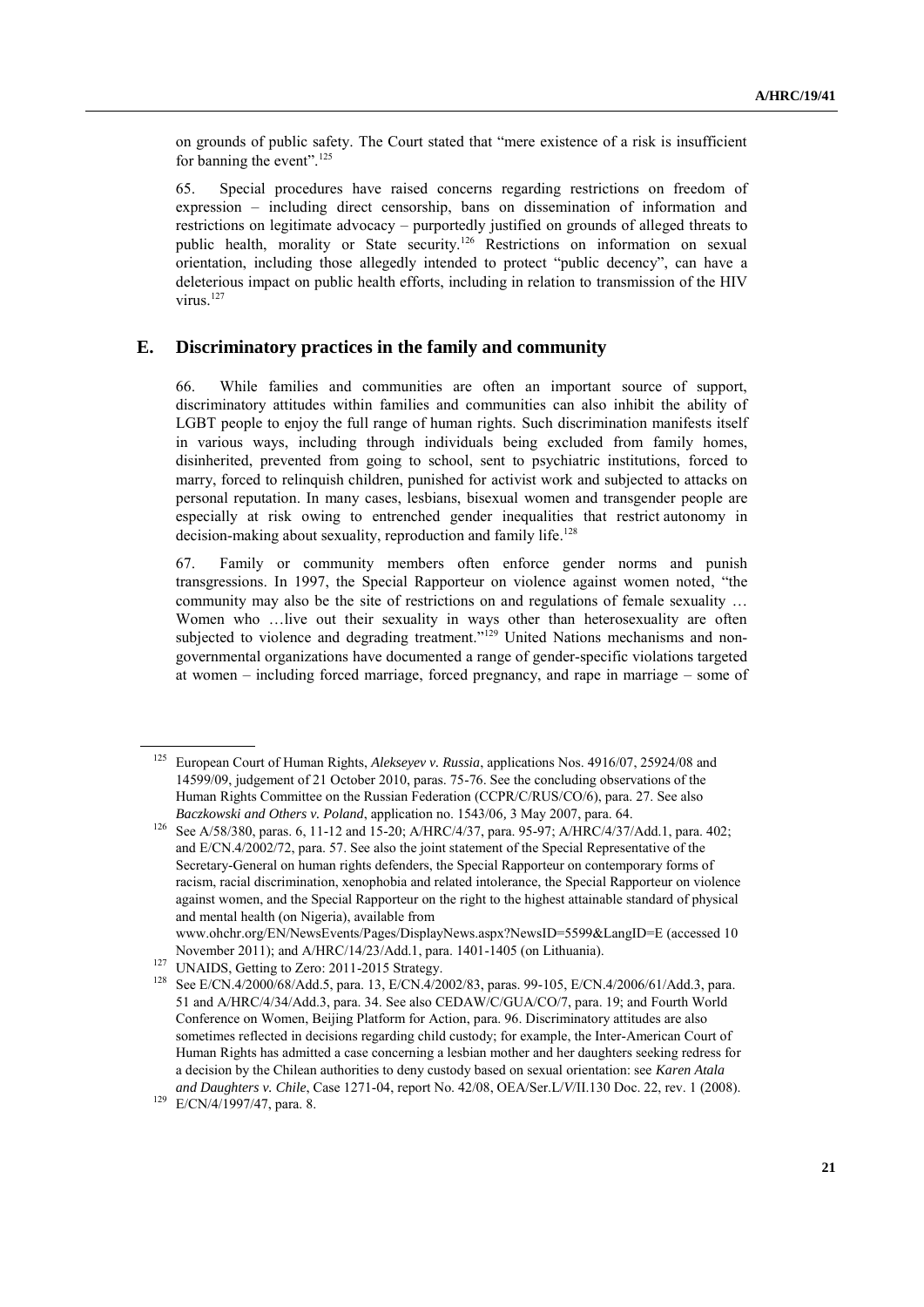on grounds of public safety. The Court stated that "mere existence of a risk is insufficient for banning the event".<sup>125</sup>

65. Special procedures have raised concerns regarding restrictions on freedom of expression – including direct censorship, bans on dissemination of information and restrictions on legitimate advocacy – purportedly justified on grounds of alleged threats to public health, morality or State security.<sup>126</sup> Restrictions on information on sexual orientation, including those allegedly intended to protect "public decency", can have a deleterious impact on public health efforts, including in relation to transmission of the HIV virus.<sup>127</sup>

#### **E. Discriminatory practices in the family and community**

66. While families and communities are often an important source of support, discriminatory attitudes within families and communities can also inhibit the ability of LGBT people to enjoy the full range of human rights. Such discrimination manifests itself in various ways, including through individuals being excluded from family homes, disinherited, prevented from going to school, sent to psychiatric institutions, forced to marry, forced to relinquish children, punished for activist work and subjected to attacks on personal reputation. In many cases, lesbians, bisexual women and transgender people are especially at risk owing to entrenched gender inequalities that restrict autonomy in decision-making about sexuality, reproduction and family life.<sup>128</sup>

67. Family or community members often enforce gender norms and punish transgressions. In 1997, the Special Rapporteur on violence against women noted, "the community may also be the site of restrictions on and regulations of female sexuality … Women who ...live out their sexuality in ways other than heterosexuality are often subjected to violence and degrading treatment."<sup>129</sup> United Nations mechanisms and nongovernmental organizations have documented a range of gender-specific violations targeted at women – including forced marriage, forced pregnancy, and rape in marriage – some of

<sup>125</sup> European Court of Human Rights, *[Alekseyev v. Russia](http://cmiskp.echr.coe.int/tkp197/view.asp?action=html&documentId=875961&portal=hbkm&source=externalbydocnumber&table=F69A27FD8FB86142BF01C1166DEA398649)*, applications Nos. 4916/07, 25924/08 and 14599/09, judgement of 21 October 2010, paras. 75-76. See the concluding observations of the Human Rights Committee on the Russian Federation (CCPR/C/RUS/CO/6), para. 27. See also *Baczkowski and Others v. Poland*, application no. 1543/06*,* 3 May 2007, para. 64.

<sup>126</sup> See A/58/380, paras. 6, 11-12 and 15-20; A/HRC/4/37, para. 95-97; A/HRC/4/37/Add.1, para. 402; and E/CN.4/2002/72, para. 57. See also the joint statement of the Special Representative of the Secretary-General on human rights defenders, the Special Rapporteur on contemporary forms of racism, racial discrimination, xenophobia and related intolerance, the Special Rapporteur on violence against women, and the Special Rapporteur on the right to the highest attainable standard of physical and mental health (on Nigeria), available from

[www.ohchr.org/EN/NewsEvents/Pages/DisplayNews.aspx?NewsID=5599&LangID=E](http://www.ohchr.org/EN/NewsEvents/Pages/DisplayNews.aspx?NewsID=5599&LangID=E) (accessed 10 November 2011); and A/HRC/14/23/Add.1, para. 1401-1405 (on Lithuania).

<sup>&</sup>lt;sup>127</sup> UNAIDS, Getting to Zero: 2011-2015 Strategy.

<sup>128</sup> See E/CN.4/2000/68/Add.5, para. 13, E/CN.4/2002/83, paras. 99-105, E/CN.4/2006/61/Add.3, para. 51 and A/HRC/4/34/Add.3, para. 34. See also CEDAW/C/GUA/CO/7, para. 19; and Fourth World Conference on Women, Beijing Platform for Action, para. 96. Discriminatory attitudes are also sometimes reflected in decisions regarding child custody; for example, the Inter-American Court of Human Rights has admitted a case concerning a lesbian mother and her daughters seeking redress for a decision by the Chilean authorities to deny custody based on sexual orientation: see *Karen Atala and Daughters v. Chile*, Case 1271-04, report No. 42/08, OEA/Ser.L/*V*/II.130 Doc. 22, rev. 1 (2008).

<sup>129</sup> E/CN/4/1997/47, para. 8.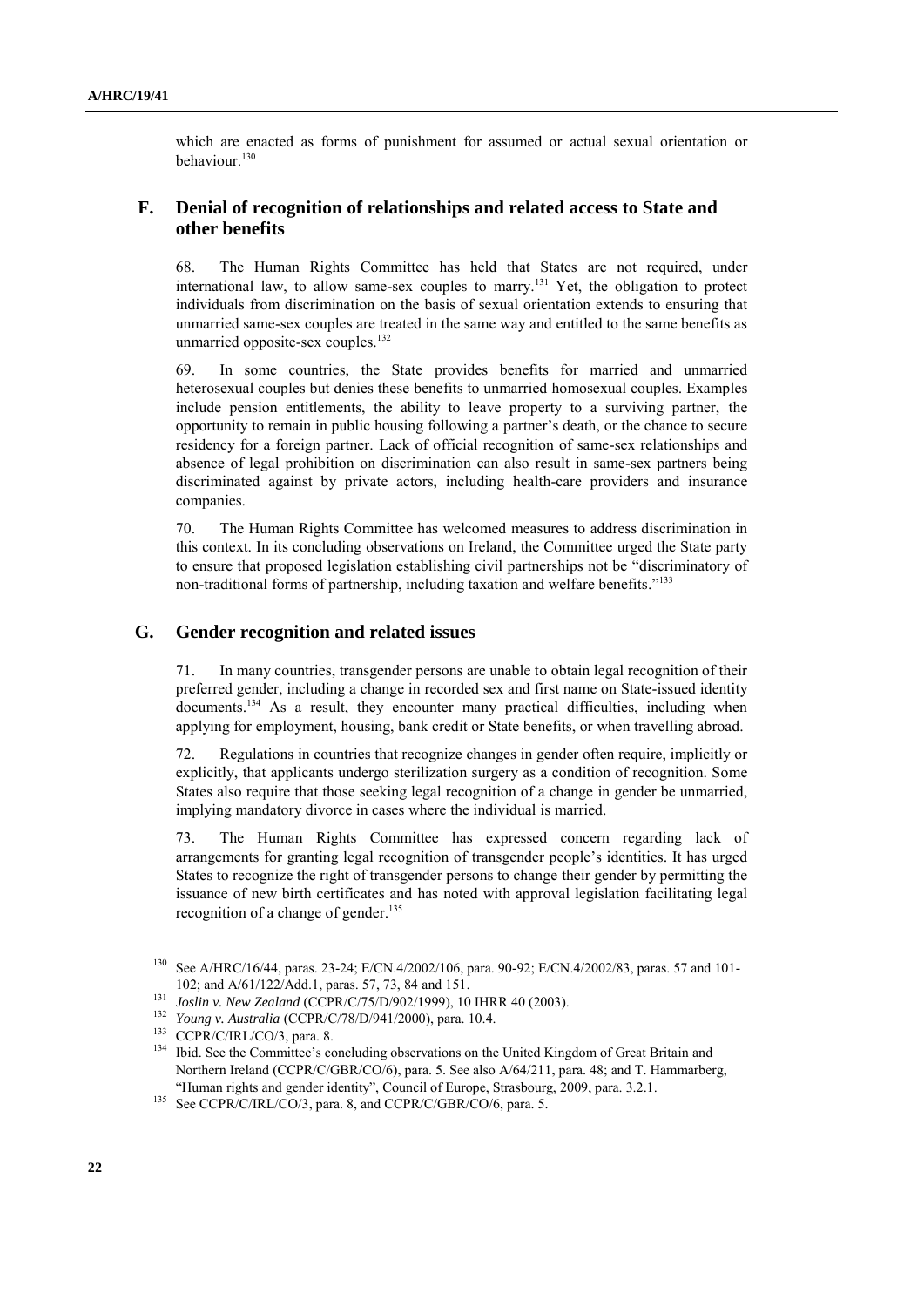which are enacted as forms of punishment for assumed or actual sexual orientation or behaviour.<sup>130</sup>

## **F. Denial of recognition of relationships and related access to State and other benefits**

68. The Human Rights Committee has held that States are not required, under international law, to allow same-sex couples to marry.<sup>131</sup> Yet, the obligation to protect individuals from discrimination on the basis of sexual orientation extends to ensuring that unmarried same-sex couples are treated in the same way and entitled to the same benefits as unmarried opposite-sex couples.<sup>132</sup>

69. In some countries, the State provides benefits for married and unmarried heterosexual couples but denies these benefits to unmarried homosexual couples. Examples include pension entitlements, the ability to leave property to a surviving partner, the opportunity to remain in public housing following a partner"s death, or the chance to secure residency for a foreign partner. Lack of official recognition of same-sex relationships and absence of legal prohibition on discrimination can also result in same-sex partners being discriminated against by private actors, including health-care providers and insurance companies.

70. The Human Rights Committee has welcomed measures to address discrimination in this context. In its concluding observations on Ireland, the Committee urged the State party to ensure that proposed legislation establishing civil partnerships not be "discriminatory of non-traditional forms of partnership, including taxation and welfare benefits."<sup>133</sup>

### **G. Gender recognition and related issues**

71. In many countries, transgender persons are unable to obtain legal recognition of their preferred gender, including a change in recorded sex and first name on State-issued identity documents.<sup>134</sup> As a result, they encounter many practical difficulties, including when applying for employment, housing, bank credit or State benefits, or when travelling abroad.

72. Regulations in countries that recognize changes in gender often require, implicitly or explicitly, that applicants undergo sterilization surgery as a condition of recognition. Some States also require that those seeking legal recognition of a change in gender be unmarried, implying mandatory divorce in cases where the individual is married.

73. The Human Rights Committee has expressed concern regarding lack of arrangements for granting legal recognition of transgender people"s identities. It has urged States to recognize the right of transgender persons to change their gender by permitting the issuance of new birth certificates and has noted with approval legislation facilitating legal recognition of a change of gender.<sup>135</sup>

<sup>130</sup> See A/HRC/16/44, paras. 23-24; E/CN.4/2002/106, para. 90-92; E/CN.4/2002/83, paras. 57 and 101- 102; and A/61/122/Add.1, paras. 57, 73, 84 and 151.

<sup>131</sup> *Joslin v. New Zealand* (CCPR/C/75/D/902/1999), 10 IHRR 40 (2003).

<sup>132</sup> *Young v. Australia* (CCPR/C/78/D/941/2000), para. 10.4.

<sup>133</sup> CCPR/C/IRL/CO/3, para. 8.

<sup>&</sup>lt;sup>134</sup> Ibid. See the Committee's concluding observations on the United Kingdom of Great Britain and Northern Ireland (CCPR/C/GBR/CO/6), para. 5. See also A/64/211, para. 48; and T. Hammarberg, "Human rights and gender identity", Council of Europe, Strasbourg, 2009, para. 3.2.1.

<sup>&</sup>lt;sup>135</sup> See CCPR/C/IRL/CO/3, para. 8, and CCPR/C/GBR/CO/6, para. 5.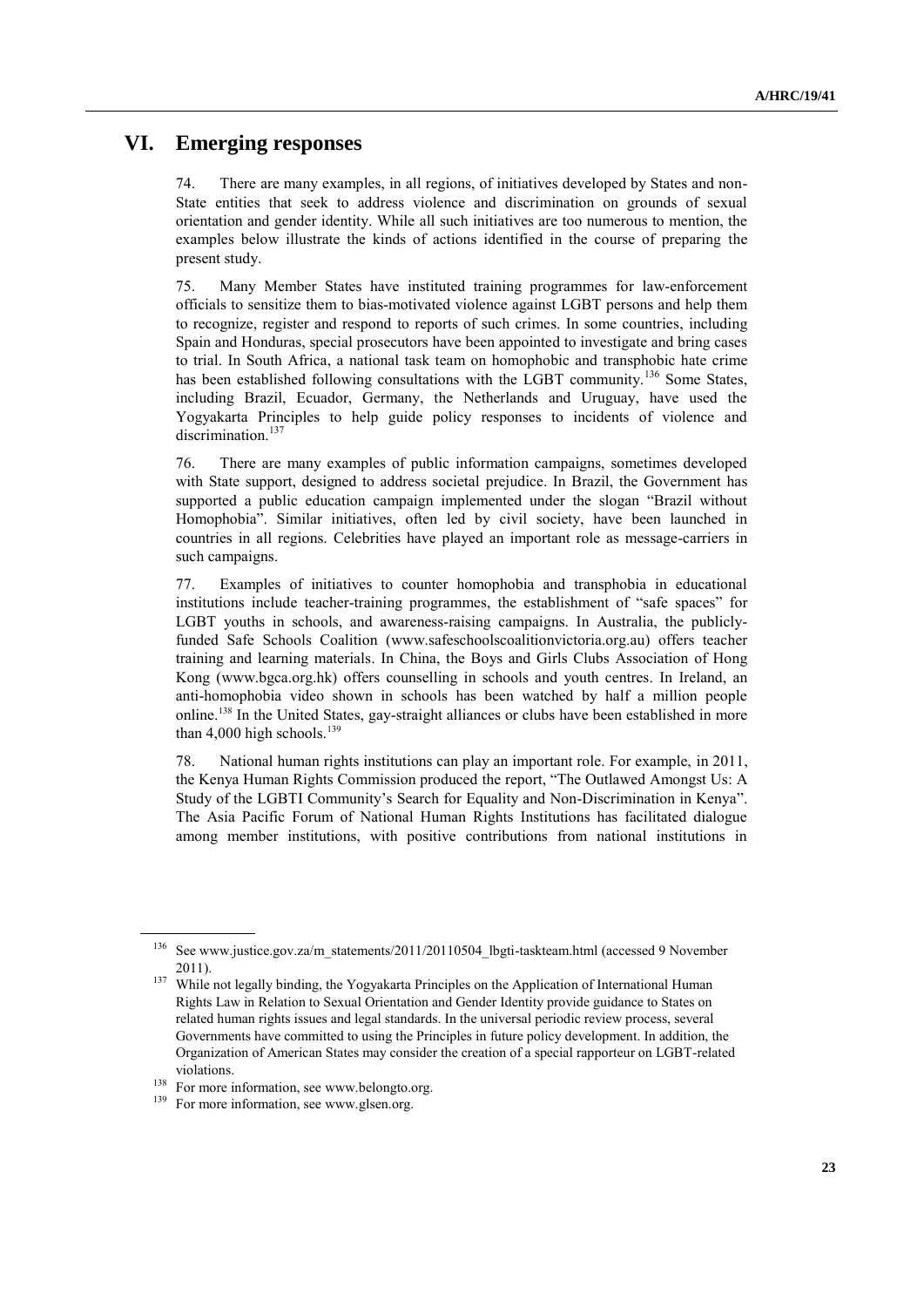## **VI. Emerging responses**

74. There are many examples, in all regions, of initiatives developed by States and non-State entities that seek to address violence and discrimination on grounds of sexual orientation and gender identity. While all such initiatives are too numerous to mention, the examples below illustrate the kinds of actions identified in the course of preparing the present study.

75. Many Member States have instituted training programmes for law-enforcement officials to sensitize them to bias-motivated violence against LGBT persons and help them to recognize, register and respond to reports of such crimes. In some countries, including Spain and Honduras, special prosecutors have been appointed to investigate and bring cases to trial. In South Africa, a national task team on homophobic and transphobic hate crime has been established following consultations with the LGBT community.<sup>136</sup> Some States, including Brazil, Ecuador, Germany, the Netherlands and Uruguay, have used the Yogyakarta Principles to help guide policy responses to incidents of violence and discrimination.<sup>137</sup>

76. There are many examples of public information campaigns, sometimes developed with State support, designed to address societal prejudice. In Brazil, the Government has supported a public education campaign implemented under the slogan "Brazil without Homophobia". Similar initiatives, often led by civil society, have been launched in countries in all regions. Celebrities have played an important role as message-carriers in such campaigns.

77. Examples of initiatives to counter homophobia and transphobia in educational institutions include teacher-training programmes, the establishment of "safe spaces" for LGBT youths in schools, and awareness-raising campaigns. In Australia, the publiclyfunded Safe Schools Coalition [\(www.safeschoolscoalitionvictoria.org.au\)](http://www.safeschoolscoalitionvictoria.org.au/) offers teacher training and learning materials. In China, the Boys and Girls Clubs Association of Hong Kong [\(www.bgca.org.hk\)](http://www.bgca.org.hk/) offers counselling in schools and youth centres. In Ireland, an anti-homophobia video shown in schools has been watched by half a million people online.<sup>138</sup> In the United States, gay-straight alliances or clubs have been established in more than 4,000 high schools.<sup>139</sup>

78. National human rights institutions can play an important role. For example, in 2011, the Kenya Human Rights Commission produced the report, "The Outlawed Amongst Us: A Study of the LGBTI Community"s Search for Equality and Non-Discrimination in Kenya". The Asia Pacific Forum of National Human Rights Institutions has facilitated dialogue among member institutions, with positive contributions from national institutions in

<sup>&</sup>lt;sup>136</sup> Se[e www.justice.gov.za/m\\_statements/2011/20110504\\_lbgti-taskteam.html](http://www.justice.gov.za/m_statements/2011/20110504_lbgti-taskteam.html) (accessed 9 November 2011).

<sup>&</sup>lt;sup>137</sup> While not legally binding, the Yogyakarta Principles on the Application of International Human Rights Law in Relation to Sexual Orientation and Gender Identity provide guidance to States on related human rights issues and legal standards. In the universal periodic review process, several Governments have committed to using the Principles in future policy development. In addition, the Organization of American States may consider the creation of a special rapporteur on LGBT-related violations.

<sup>&</sup>lt;sup>138</sup> For more information, see [www.belongto.org.](http://www.belongto.org/)

<sup>&</sup>lt;sup>139</sup> For more information, se[e www.glsen.org.](http://www.glsen.org/)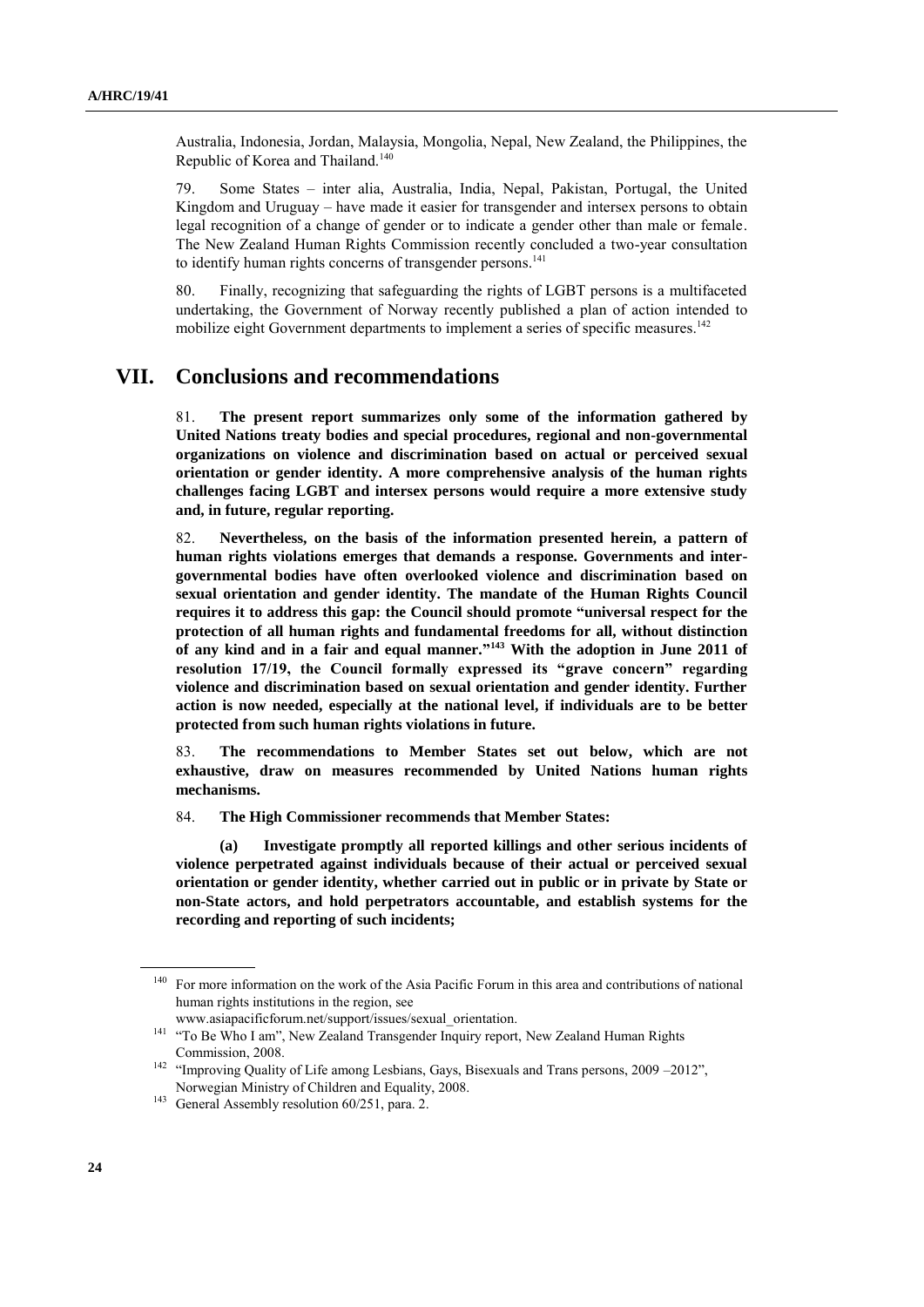Australia, Indonesia, Jordan, Malaysia, Mongolia, Nepal, New Zealand, the Philippines, the Republic of Korea and Thailand.<sup>140</sup>

79. Some States – inter alia, Australia, India, Nepal, Pakistan, Portugal, the United Kingdom and Uruguay – have made it easier for transgender and intersex persons to obtain legal recognition of a change of gender or to indicate a gender other than male or female. The New Zealand Human Rights Commission recently concluded a two-year consultation to identify human rights concerns of transgender persons.<sup>141</sup>

80. Finally, recognizing that safeguarding the rights of LGBT persons is a multifaceted undertaking, the Government of Norway recently published a plan of action intended to mobilize eight Government departments to implement a series of specific measures.<sup>142</sup>

## **VII. Conclusions and recommendations**

81. **The present report summarizes only some of the information gathered by United Nations treaty bodies and special procedures, regional and non-governmental organizations on violence and discrimination based on actual or perceived sexual orientation or gender identity. A more comprehensive analysis of the human rights challenges facing LGBT and intersex persons would require a more extensive study and, in future, regular reporting.**

82. **Nevertheless, on the basis of the information presented herein, a pattern of human rights violations emerges that demands a response. Governments and intergovernmental bodies have often overlooked violence and discrimination based on sexual orientation and gender identity. The mandate of the Human Rights Council requires it to address this gap: the Council should promote "universal respect for the protection of all human rights and fundamental freedoms for all, without distinction of any kind and in a fair and equal manner." <sup>143</sup> With the adoption in June 2011 of resolution 17/19, the Council formally expressed its "grave concern" regarding violence and discrimination based on sexual orientation and gender identity. Further action is now needed, especially at the national level, if individuals are to be better protected from such human rights violations in future.**

83. **The recommendations to Member States set out below, which are not exhaustive, draw on measures recommended by United Nations human rights mechanisms.** 

84. **The High Commissioner recommends that Member States:**

**(a) Investigate promptly all reported killings and other serious incidents of violence perpetrated against individuals because of their actual or perceived sexual orientation or gender identity, whether carried out in public or in private by State or non-State actors, and hold perpetrators accountable, and establish systems for the recording and reporting of such incidents;**

<sup>&</sup>lt;sup>140</sup> For more information on the work of the Asia Pacific Forum in this area and contributions of national human rights institutions in the region, see

www.asiapacificforum.net/support/issues/sexual\_orientation.

<sup>&</sup>lt;sup>141</sup> "To Be Who I am", New Zealand Transgender Inquiry report, New Zealand Human Rights Commission, 2008.

<sup>&</sup>lt;sup>142</sup> "Improving Quality of Life among Lesbians, Gays, Bisexuals and Trans persons, 2009 –2012", Norwegian Ministry of Children and Equality, 2008.

<sup>&</sup>lt;sup>143</sup> General Assembly resolution 60/251, para. 2.